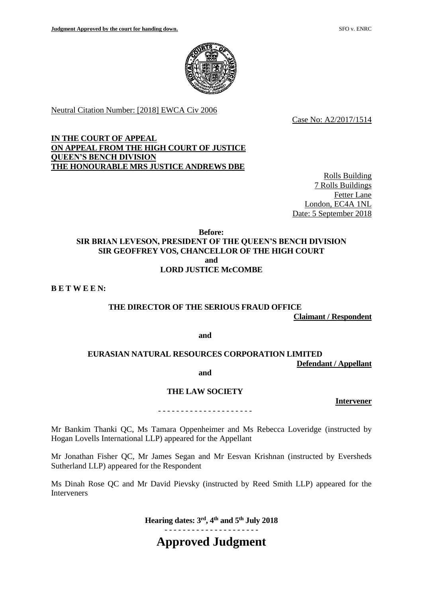

Neutral Citation Number: [2018] EWCA Civ 2006

Case No: A2/2017/1514

#### **IN THE COURT OF APPEAL ON APPEAL FROM THE HIGH COURT OF JUSTICE QUEEN'S BENCH DIVISION THE HONOURABLE MRS JUSTICE ANDREWS DBE**

Rolls Building 7 Rolls Buildings Fetter Lane London, EC4A 1NL Date: 5 September 2018

## **Before: SIR BRIAN LEVESON, PRESIDENT OF THE QUEEN'S BENCH DIVISION SIR GEOFFREY VOS, CHANCELLOR OF THE HIGH COURT and LORD JUSTICE McCOMBE**

**B E T W E E N:** 

# **THE DIRECTOR OF THE SERIOUS FRAUD OFFICE**

**Claimant / Respondent**

**and**

# **EURASIAN NATURAL RESOURCES CORPORATION LIMITED Defendant / Appellant**

**and**

## **THE LAW SOCIETY**

**Intervener**

- - - - - - - - - - - - - - - - - - - - -

Mr Bankim Thanki QC, Ms Tamara Oppenheimer and Ms Rebecca Loveridge (instructed by Hogan Lovells International LLP) appeared for the Appellant

Mr Jonathan Fisher QC, Mr James Segan and Mr Eesvan Krishnan (instructed by Eversheds Sutherland LLP) appeared for the Respondent

Ms Dinah Rose QC and Mr David Pievsky (instructed by Reed Smith LLP) appeared for the Interveners

**Hearing dates: 3 rd , 4 th and 5th July 2018**

- - - - - - - - - - - - - - - - - - - - -

**Approved Judgment**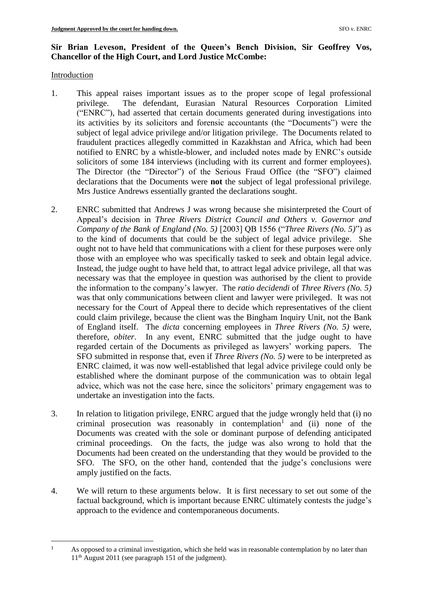## **Sir Brian Leveson, President of the Queen's Bench Division, Sir Geoffrey Vos, Chancellor of the High Court, and Lord Justice McCombe:**

#### Introduction

- 1. This appeal raises important issues as to the proper scope of legal professional privilege. The defendant, Eurasian Natural Resources Corporation Limited ("ENRC"), had asserted that certain documents generated during investigations into its activities by its solicitors and forensic accountants (the "Documents") were the subject of legal advice privilege and/or litigation privilege. The Documents related to fraudulent practices allegedly committed in Kazakhstan and Africa, which had been notified to ENRC by a whistle-blower, and included notes made by ENRC's outside solicitors of some 184 interviews (including with its current and former employees). The Director (the "Director") of the Serious Fraud Office (the "SFO") claimed declarations that the Documents were **not** the subject of legal professional privilege. Mrs Justice Andrews essentially granted the declarations sought.
- 2. ENRC submitted that Andrews J was wrong because she misinterpreted the Court of Appeal's decision in *Three Rivers District Council and Others v. Governor and Company of the Bank of England (No. 5)* [2003] QB 1556 ("*Three Rivers (No. 5)*") as to the kind of documents that could be the subject of legal advice privilege. She ought not to have held that communications with a client for these purposes were only those with an employee who was specifically tasked to seek and obtain legal advice. Instead, the judge ought to have held that, to attract legal advice privilege, all that was necessary was that the employee in question was authorised by the client to provide the information to the company's lawyer. The *ratio decidendi* of *Three Rivers (No. 5)* was that only communications between client and lawyer were privileged. It was not necessary for the Court of Appeal there to decide which representatives of the client could claim privilege, because the client was the Bingham Inquiry Unit, not the Bank of England itself. The *dicta* concerning employees in *Three Rivers (No. 5)* were, therefore, *obiter*. In any event, ENRC submitted that the judge ought to have regarded certain of the Documents as privileged as lawyers' working papers. The SFO submitted in response that, even if *Three Rivers (No. 5)* were to be interpreted as ENRC claimed, it was now well-established that legal advice privilege could only be established where the dominant purpose of the communication was to obtain legal advice, which was not the case here, since the solicitors' primary engagement was to undertake an investigation into the facts.
- 3. In relation to litigation privilege, ENRC argued that the judge wrongly held that (i) no criminal prosecution was reasonably in contemplation<sup>1</sup> and (ii) none of the Documents was created with the sole or dominant purpose of defending anticipated criminal proceedings. On the facts, the judge was also wrong to hold that the Documents had been created on the understanding that they would be provided to the SFO. The SFO, on the other hand, contended that the judge's conclusions were amply justified on the facts.
- 4. We will return to these arguments below. It is first necessary to set out some of the factual background, which is important because ENRC ultimately contests the judge's approach to the evidence and contemporaneous documents.

 $\mathbf 1$ As opposed to a criminal investigation, which she held was in reasonable contemplation by no later than 11th August 2011 (see paragraph 151 of the judgment).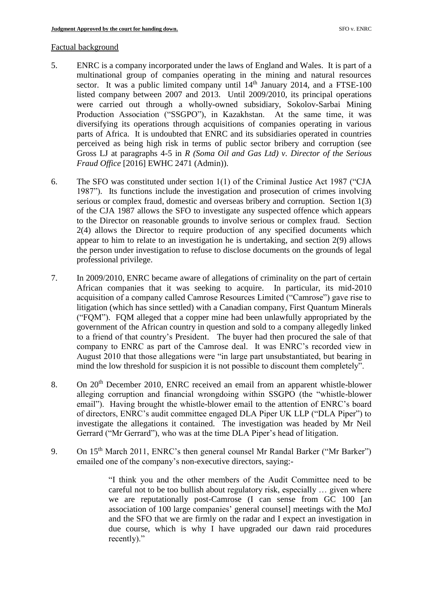#### Factual background

- 5. ENRC is a company incorporated under the laws of England and Wales. It is part of a multinational group of companies operating in the mining and natural resources sector. It was a public limited company until  $14<sup>th</sup>$  January 2014, and a FTSE-100 listed company between 2007 and 2013. Until 2009/2010, its principal operations were carried out through a wholly-owned subsidiary, Sokolov-Sarbai Mining Production Association ("SSGPO"), in Kazakhstan. At the same time, it was diversifying its operations through acquisitions of companies operating in various parts of Africa. It is undoubted that ENRC and its subsidiaries operated in countries perceived as being high risk in terms of public sector bribery and corruption (see Gross LJ at paragraphs 4-5 in *R (Soma Oil and Gas Ltd) v. Director of the Serious Fraud Office* [2016] EWHC 2471 (Admin)).
- 6. The SFO was constituted under section 1(1) of the Criminal Justice Act 1987 ("CJA 1987"). Its functions include the investigation and prosecution of crimes involving serious or complex fraud, domestic and overseas bribery and corruption. Section 1(3) of the CJA 1987 allows the SFO to investigate any suspected offence which appears to the Director on reasonable grounds to involve serious or complex fraud. Section 2(4) allows the Director to require production of any specified documents which appear to him to relate to an investigation he is undertaking, and section 2(9) allows the person under investigation to refuse to disclose documents on the grounds of legal professional privilege.
- 7. In 2009/2010, ENRC became aware of allegations of criminality on the part of certain African companies that it was seeking to acquire. In particular, its mid-2010 acquisition of a company called Camrose Resources Limited ("Camrose") gave rise to litigation (which has since settled) with a Canadian company, First Quantum Minerals ("FQM"). FQM alleged that a copper mine had been unlawfully appropriated by the government of the African country in question and sold to a company allegedly linked to a friend of that country's President. The buyer had then procured the sale of that company to ENRC as part of the Camrose deal. It was ENRC's recorded view in August 2010 that those allegations were "in large part unsubstantiated, but bearing in mind the low threshold for suspicion it is not possible to discount them completely".
- 8. On 20<sup>th</sup> December 2010, ENRC received an email from an apparent whistle-blower alleging corruption and financial wrongdoing within SSGPO (the "whistle-blower email"). Having brought the whistle-blower email to the attention of ENRC's board of directors, ENRC's audit committee engaged DLA Piper UK LLP ("DLA Piper") to investigate the allegations it contained. The investigation was headed by Mr Neil Gerrard ("Mr Gerrard"), who was at the time DLA Piper's head of litigation.
- 9. On 15<sup>th</sup> March 2011, ENRC's then general counsel Mr Randal Barker ("Mr Barker") emailed one of the company's non-executive directors, saying:-

"I think you and the other members of the Audit Committee need to be careful not to be too bullish about regulatory risk, especially … given where we are reputationally post-Camrose (I can sense from GC 100 [an association of 100 large companies' general counsel] meetings with the MoJ and the SFO that we are firmly on the radar and I expect an investigation in due course, which is why I have upgraded our dawn raid procedures recently)."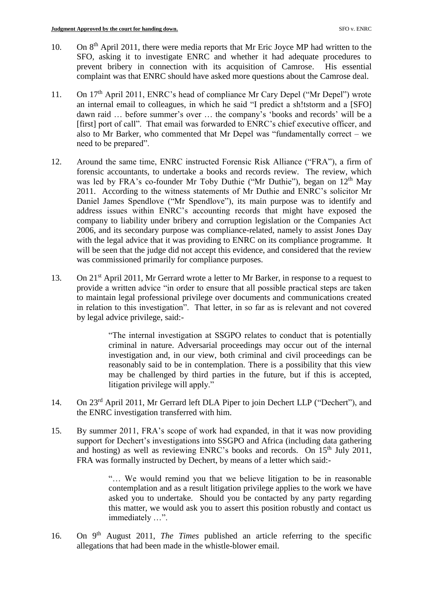- 10. On 8<sup>th</sup> April 2011, there were media reports that Mr Eric Joyce MP had written to the SFO, asking it to investigate ENRC and whether it had adequate procedures to prevent bribery in connection with its acquisition of Camrose. His essential complaint was that ENRC should have asked more questions about the Camrose deal.
- 11. On 17<sup>th</sup> April 2011, ENRC's head of compliance Mr Cary Depel ("Mr Depel") wrote an internal email to colleagues, in which he said "I predict a sh!tstorm and a [SFO] dawn raid … before summer's over … the company's 'books and records' will be a [first] port of call". That email was forwarded to ENRC's chief executive officer, and also to Mr Barker, who commented that Mr Depel was "fundamentally correct – we need to be prepared".
- 12. Around the same time, ENRC instructed Forensic Risk Alliance ("FRA"), a firm of forensic accountants, to undertake a books and records review. The review, which was led by FRA's co-founder Mr Toby Duthie ("Mr Duthie"), began on  $12<sup>th</sup>$  May 2011. According to the witness statements of Mr Duthie and ENRC's solicitor Mr Daniel James Spendlove ("Mr Spendlove"), its main purpose was to identify and address issues within ENRC's accounting records that might have exposed the company to liability under bribery and corruption legislation or the Companies Act 2006, and its secondary purpose was compliance-related, namely to assist Jones Day with the legal advice that it was providing to ENRC on its compliance programme. It will be seen that the judge did not accept this evidence, and considered that the review was commissioned primarily for compliance purposes.
- 13. On 21st April 2011, Mr Gerrard wrote a letter to Mr Barker, in response to a request to provide a written advice "in order to ensure that all possible practical steps are taken to maintain legal professional privilege over documents and communications created in relation to this investigation". That letter, in so far as is relevant and not covered by legal advice privilege, said:-

"The internal investigation at SSGPO relates to conduct that is potentially criminal in nature. Adversarial proceedings may occur out of the internal investigation and, in our view, both criminal and civil proceedings can be reasonably said to be in contemplation. There is a possibility that this view may be challenged by third parties in the future, but if this is accepted, litigation privilege will apply."

- 14. On 23<sup>rd</sup> April 2011, Mr Gerrard left DLA Piper to join Dechert LLP ("Dechert"), and the ENRC investigation transferred with him.
- 15. By summer 2011, FRA's scope of work had expanded, in that it was now providing support for Dechert's investigations into SSGPO and Africa (including data gathering and hosting) as well as reviewing ENRC's books and records. On 15<sup>th</sup> July 2011, FRA was formally instructed by Dechert, by means of a letter which said:-

"… We would remind you that we believe litigation to be in reasonable contemplation and as a result litigation privilege applies to the work we have asked you to undertake. Should you be contacted by any party regarding this matter, we would ask you to assert this position robustly and contact us immediately …".

16. On 9th August 2011, *The Times* published an article referring to the specific allegations that had been made in the whistle-blower email.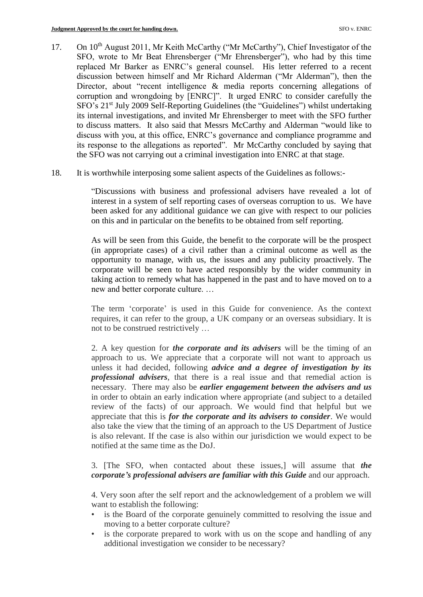- 17. On 10<sup>th</sup> August 2011, Mr Keith McCarthy ("Mr McCarthy"), Chief Investigator of the SFO, wrote to Mr Beat Ehrensberger ("Mr Ehrensberger"), who had by this time replaced Mr Barker as ENRC's general counsel. His letter referred to a recent discussion between himself and Mr Richard Alderman ("Mr Alderman"), then the Director, about "recent intelligence & media reports concerning allegations of corruption and wrongdoing by [ENRC]". It urged ENRC to consider carefully the SFO's 21st July 2009 Self-Reporting Guidelines (the "Guidelines") whilst undertaking its internal investigations, and invited Mr Ehrensberger to meet with the SFO further to discuss matters. It also said that Messrs McCarthy and Alderman "would like to discuss with you, at this office, ENRC's governance and compliance programme and its response to the allegations as reported". Mr McCarthy concluded by saying that the SFO was not carrying out a criminal investigation into ENRC at that stage.
- 18. It is worthwhile interposing some salient aspects of the Guidelines as follows:-

"Discussions with business and professional advisers have revealed a lot of interest in a system of self reporting cases of overseas corruption to us. We have been asked for any additional guidance we can give with respect to our policies on this and in particular on the benefits to be obtained from self reporting.

As will be seen from this Guide, the benefit to the corporate will be the prospect (in appropriate cases) of a civil rather than a criminal outcome as well as the opportunity to manage, with us, the issues and any publicity proactively. The corporate will be seen to have acted responsibly by the wider community in taking action to remedy what has happened in the past and to have moved on to a new and better corporate culture. …

The term 'corporate' is used in this Guide for convenience. As the context requires, it can refer to the group, a UK company or an overseas subsidiary. It is not to be construed restrictively …

2. A key question for *the corporate and its advisers* will be the timing of an approach to us. We appreciate that a corporate will not want to approach us unless it had decided, following *advice and a degree of investigation by its professional advisers*, that there is a real issue and that remedial action is necessary. There may also be *earlier engagement between the advisers and us* in order to obtain an early indication where appropriate (and subject to a detailed review of the facts) of our approach. We would find that helpful but we appreciate that this is *for the corporate and its advisers to consider*. We would also take the view that the timing of an approach to the US Department of Justice is also relevant. If the case is also within our jurisdiction we would expect to be notified at the same time as the DoJ.

3. [The SFO, when contacted about these issues,] will assume that *the corporate's professional advisers are familiar with this Guide* and our approach.

4. Very soon after the self report and the acknowledgement of a problem we will want to establish the following:

- is the Board of the corporate genuinely committed to resolving the issue and moving to a better corporate culture?
- is the corporate prepared to work with us on the scope and handling of any additional investigation we consider to be necessary?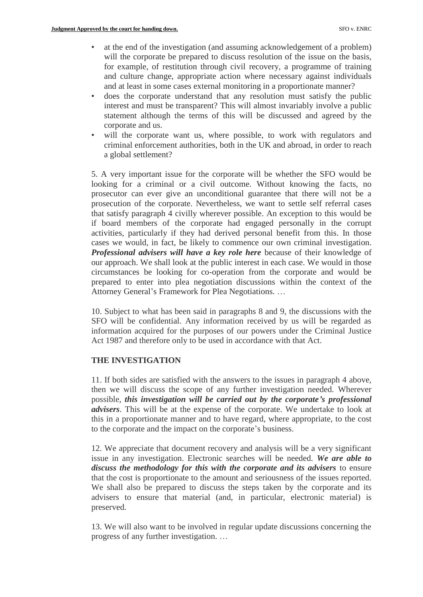- at the end of the investigation (and assuming acknowledgement of a problem) will the corporate be prepared to discuss resolution of the issue on the basis, for example, of restitution through civil recovery, a programme of training and culture change, appropriate action where necessary against individuals and at least in some cases external monitoring in a proportionate manner?
- does the corporate understand that any resolution must satisfy the public interest and must be transparent? This will almost invariably involve a public statement although the terms of this will be discussed and agreed by the corporate and us.
- will the corporate want us, where possible, to work with regulators and criminal enforcement authorities, both in the UK and abroad, in order to reach a global settlement?

5. A very important issue for the corporate will be whether the SFO would be looking for a criminal or a civil outcome. Without knowing the facts, no prosecutor can ever give an unconditional guarantee that there will not be a prosecution of the corporate. Nevertheless, we want to settle self referral cases that satisfy paragraph 4 civilly wherever possible. An exception to this would be if board members of the corporate had engaged personally in the corrupt activities, particularly if they had derived personal benefit from this. In those cases we would, in fact, be likely to commence our own criminal investigation. *Professional advisers will have a key role here* because of their knowledge of our approach. We shall look at the public interest in each case. We would in those circumstances be looking for co-operation from the corporate and would be prepared to enter into plea negotiation discussions within the context of the Attorney General's Framework for Plea Negotiations. …

10. Subject to what has been said in paragraphs 8 and 9, the discussions with the SFO will be confidential. Any information received by us will be regarded as information acquired for the purposes of our powers under the Criminal Justice Act 1987 and therefore only to be used in accordance with that Act.

# **THE INVESTIGATION**

11. If both sides are satisfied with the answers to the issues in paragraph 4 above, then we will discuss the scope of any further investigation needed. Wherever possible, *this investigation will be carried out by the corporate's professional advisers*. This will be at the expense of the corporate. We undertake to look at this in a proportionate manner and to have regard, where appropriate, to the cost to the corporate and the impact on the corporate's business.

12. We appreciate that document recovery and analysis will be a very significant issue in any investigation. Electronic searches will be needed. *We are able to discuss the methodology for this with the corporate and its advisers* to ensure that the cost is proportionate to the amount and seriousness of the issues reported. We shall also be prepared to discuss the steps taken by the corporate and its advisers to ensure that material (and, in particular, electronic material) is preserved.

13. We will also want to be involved in regular update discussions concerning the progress of any further investigation. …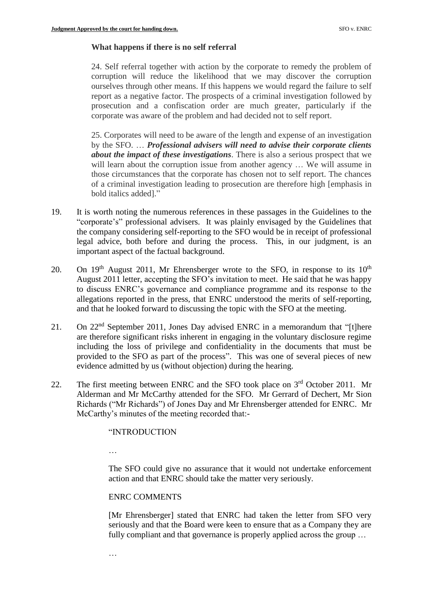#### **What happens if there is no self referral**

24. Self referral together with action by the corporate to remedy the problem of corruption will reduce the likelihood that we may discover the corruption ourselves through other means. If this happens we would regard the failure to self report as a negative factor. The prospects of a criminal investigation followed by prosecution and a confiscation order are much greater, particularly if the corporate was aware of the problem and had decided not to self report.

25. Corporates will need to be aware of the length and expense of an investigation by the SFO. … *Professional advisers will need to advise their corporate clients about the impact of these investigations*. There is also a serious prospect that we will learn about the corruption issue from another agency ... We will assume in those circumstances that the corporate has chosen not to self report. The chances of a criminal investigation leading to prosecution are therefore high [emphasis in bold italics added]."

- 19. It is worth noting the numerous references in these passages in the Guidelines to the "corporate's" professional advisers. It was plainly envisaged by the Guidelines that the company considering self-reporting to the SFO would be in receipt of professional legal advice, both before and during the process. This, in our judgment, is an important aspect of the factual background.
- 20. On 19<sup>th</sup> August 2011, Mr Ehrensberger wrote to the SFO, in response to its  $10<sup>th</sup>$ August 2011 letter, accepting the SFO's invitation to meet. He said that he was happy to discuss ENRC's governance and compliance programme and its response to the allegations reported in the press, that ENRC understood the merits of self-reporting, and that he looked forward to discussing the topic with the SFO at the meeting.
- 21. On 22nd September 2011, Jones Day advised ENRC in a memorandum that "[t]here are therefore significant risks inherent in engaging in the voluntary disclosure regime including the loss of privilege and confidentiality in the documents that must be provided to the SFO as part of the process". This was one of several pieces of new evidence admitted by us (without objection) during the hearing.
- 22. The first meeting between ENRC and the SFO took place on  $3<sup>rd</sup>$  October 2011. Mr Alderman and Mr McCarthy attended for the SFO. Mr Gerrard of Dechert, Mr Sion Richards ("Mr Richards") of Jones Day and Mr Ehrensberger attended for ENRC. Mr McCarthy's minutes of the meeting recorded that:-

## "INTRODUCTION

…

The SFO could give no assurance that it would not undertake enforcement action and that ENRC should take the matter very seriously.

## ENRC COMMENTS

[Mr Ehrensberger] stated that ENRC had taken the letter from SFO very seriously and that the Board were keen to ensure that as a Company they are fully compliant and that governance is properly applied across the group …

…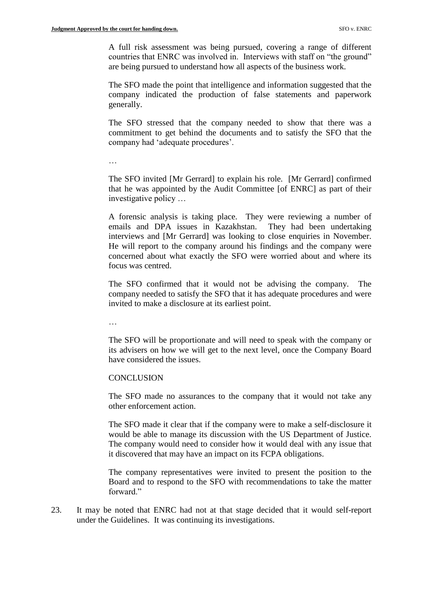A full risk assessment was being pursued, covering a range of different countries that ENRC was involved in. Interviews with staff on "the ground" are being pursued to understand how all aspects of the business work.

The SFO made the point that intelligence and information suggested that the company indicated the production of false statements and paperwork generally.

The SFO stressed that the company needed to show that there was a commitment to get behind the documents and to satisfy the SFO that the company had 'adequate procedures'.

…

The SFO invited [Mr Gerrard] to explain his role. [Mr Gerrard] confirmed that he was appointed by the Audit Committee [of ENRC] as part of their investigative policy …

A forensic analysis is taking place. They were reviewing a number of emails and DPA issues in Kazakhstan. They had been undertaking interviews and [Mr Gerrard] was looking to close enquiries in November. He will report to the company around his findings and the company were concerned about what exactly the SFO were worried about and where its focus was centred.

The SFO confirmed that it would not be advising the company. The company needed to satisfy the SFO that it has adequate procedures and were invited to make a disclosure at its earliest point.

…

The SFO will be proportionate and will need to speak with the company or its advisers on how we will get to the next level, once the Company Board have considered the issues.

#### **CONCLUSION**

The SFO made no assurances to the company that it would not take any other enforcement action.

The SFO made it clear that if the company were to make a self-disclosure it would be able to manage its discussion with the US Department of Justice. The company would need to consider how it would deal with any issue that it discovered that may have an impact on its FCPA obligations.

The company representatives were invited to present the position to the Board and to respond to the SFO with recommendations to take the matter forward."

23. It may be noted that ENRC had not at that stage decided that it would self-report under the Guidelines. It was continuing its investigations.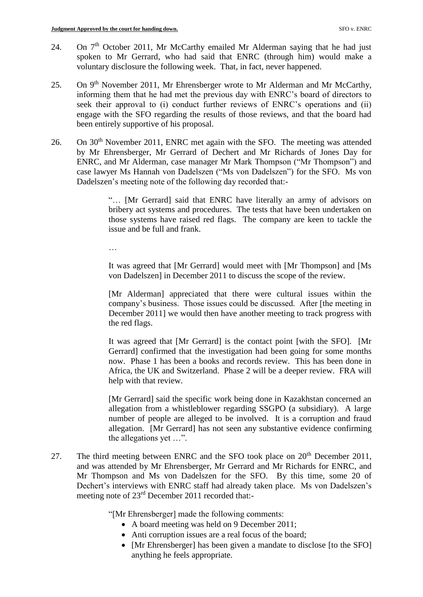- 24. On 7<sup>th</sup> October 2011, Mr McCarthy emailed Mr Alderman saying that he had just spoken to Mr Gerrard, who had said that ENRC (through him) would make a voluntary disclosure the following week. That, in fact, never happened.
- 25. On 9<sup>th</sup> November 2011, Mr Ehrensberger wrote to Mr Alderman and Mr McCarthy, informing them that he had met the previous day with ENRC's board of directors to seek their approval to (i) conduct further reviews of ENRC's operations and (ii) engage with the SFO regarding the results of those reviews, and that the board had been entirely supportive of his proposal.
- 26. On 30th November 2011, ENRC met again with the SFO. The meeting was attended by Mr Ehrensberger, Mr Gerrard of Dechert and Mr Richards of Jones Day for ENRC, and Mr Alderman, case manager Mr Mark Thompson ("Mr Thompson") and case lawyer Ms Hannah von Dadelszen ("Ms von Dadelszen") for the SFO. Ms von Dadelszen's meeting note of the following day recorded that:-

"… [Mr Gerrard] said that ENRC have literally an army of advisors on bribery act systems and procedures. The tests that have been undertaken on those systems have raised red flags. The company are keen to tackle the issue and be full and frank.

…

It was agreed that [Mr Gerrard] would meet with [Mr Thompson] and [Ms von Dadelszen] in December 2011 to discuss the scope of the review.

[Mr Alderman] appreciated that there were cultural issues within the company's business. Those issues could be discussed. After [the meeting in December 2011] we would then have another meeting to track progress with the red flags.

It was agreed that [Mr Gerrard] is the contact point [with the SFO]. [Mr Gerrard] confirmed that the investigation had been going for some months now. Phase 1 has been a books and records review. This has been done in Africa, the UK and Switzerland. Phase 2 will be a deeper review. FRA will help with that review.

[Mr Gerrard] said the specific work being done in Kazakhstan concerned an allegation from a whistleblower regarding SSGPO (a subsidiary). A large number of people are alleged to be involved. It is a corruption and fraud allegation. [Mr Gerrard] has not seen any substantive evidence confirming the allegations yet …".

27. The third meeting between ENRC and the SFO took place on 20<sup>th</sup> December 2011, and was attended by Mr Ehrensberger, Mr Gerrard and Mr Richards for ENRC, and Mr Thompson and Ms von Dadelszen for the SFO. By this time, some 20 of Dechert's interviews with ENRC staff had already taken place. Ms von Dadelszen's meeting note of 23rd December 2011 recorded that:-

"[Mr Ehrensberger] made the following comments:

- A board meeting was held on 9 December 2011;
- Anti corruption issues are a real focus of the board;
- [Mr Ehrensberger] has been given a mandate to disclose [to the SFO] anything he feels appropriate.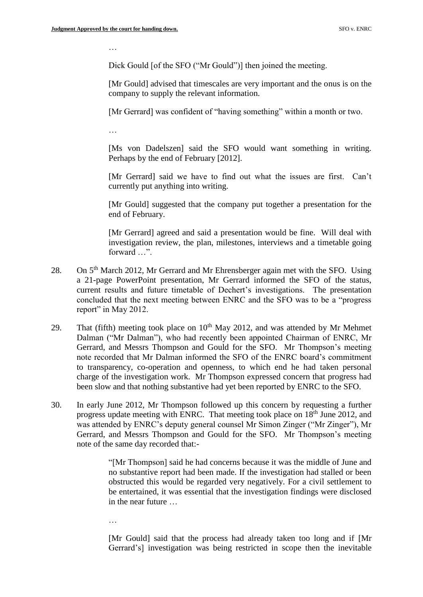…

Dick Gould [of the SFO ("Mr Gould")] then joined the meeting.

[Mr Gould] advised that timescales are very important and the onus is on the company to supply the relevant information.

[Mr Gerrard] was confident of "having something" within a month or two.

…

[Ms von Dadelszen] said the SFO would want something in writing. Perhaps by the end of February [2012].

[Mr Gerrard] said we have to find out what the issues are first. Can't currently put anything into writing.

[Mr Gould] suggested that the company put together a presentation for the end of February.

[Mr Gerrard] agreed and said a presentation would be fine. Will deal with investigation review, the plan, milestones, interviews and a timetable going forward …".

- 28. On 5th March 2012, Mr Gerrard and Mr Ehrensberger again met with the SFO. Using a 21-page PowerPoint presentation, Mr Gerrard informed the SFO of the status, current results and future timetable of Dechert's investigations. The presentation concluded that the next meeting between ENRC and the SFO was to be a "progress report" in May 2012.
- 29. That (fifth) meeting took place on  $10<sup>th</sup>$  May 2012, and was attended by Mr Mehmet Dalman ("Mr Dalman"), who had recently been appointed Chairman of ENRC, Mr Gerrard, and Messrs Thompson and Gould for the SFO. Mr Thompson's meeting note recorded that Mr Dalman informed the SFO of the ENRC board's commitment to transparency, co-operation and openness, to which end he had taken personal charge of the investigation work. Mr Thompson expressed concern that progress had been slow and that nothing substantive had yet been reported by ENRC to the SFO.
- 30. In early June 2012, Mr Thompson followed up this concern by requesting a further progress update meeting with ENRC. That meeting took place on 18<sup>th</sup> June 2012, and was attended by ENRC's deputy general counsel Mr Simon Zinger ("Mr Zinger"), Mr Gerrard, and Messrs Thompson and Gould for the SFO. Mr Thompson's meeting note of the same day recorded that:-

"[Mr Thompson] said he had concerns because it was the middle of June and no substantive report had been made. If the investigation had stalled or been obstructed this would be regarded very negatively. For a civil settlement to be entertained, it was essential that the investigation findings were disclosed in the near future …

…

[Mr Gould] said that the process had already taken too long and if [Mr Gerrard's] investigation was being restricted in scope then the inevitable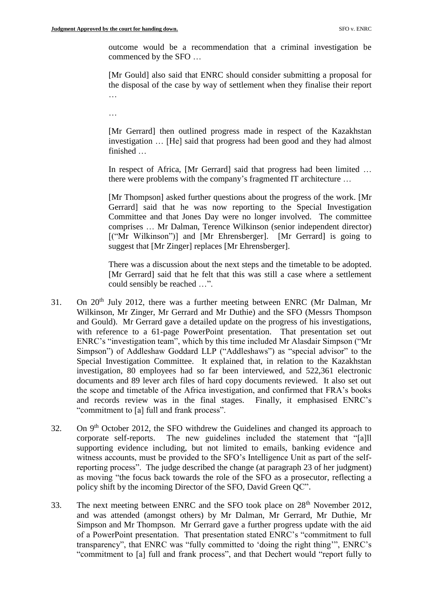outcome would be a recommendation that a criminal investigation be commenced by the SFO …

[Mr Gould] also said that ENRC should consider submitting a proposal for the disposal of the case by way of settlement when they finalise their report …

…

[Mr Gerrard] then outlined progress made in respect of the Kazakhstan investigation … [He] said that progress had been good and they had almost finished …

In respect of Africa, [Mr Gerrard] said that progress had been limited … there were problems with the company's fragmented IT architecture …

[Mr Thompson] asked further questions about the progress of the work. [Mr Gerrard] said that he was now reporting to the Special Investigation Committee and that Jones Day were no longer involved. The committee comprises … Mr Dalman, Terence Wilkinson (senior independent director) [("Mr Wilkinson")] and [Mr Ehrensberger]. [Mr Gerrard] is going to suggest that [Mr Zinger] replaces [Mr Ehrensberger].

There was a discussion about the next steps and the timetable to be adopted. [Mr Gerrard] said that he felt that this was still a case where a settlement could sensibly be reached …".

- 31. On 20<sup>th</sup> July 2012, there was a further meeting between ENRC (Mr Dalman, Mr Wilkinson, Mr Zinger, Mr Gerrard and Mr Duthie) and the SFO (Messrs Thompson and Gould). Mr Gerrard gave a detailed update on the progress of his investigations, with reference to a 61-page PowerPoint presentation. That presentation set out ENRC's "investigation team", which by this time included Mr Alasdair Simpson ("Mr Simpson") of Addleshaw Goddard LLP ("Addleshaws") as "special advisor" to the Special Investigation Committee. It explained that, in relation to the Kazakhstan investigation, 80 employees had so far been interviewed, and 522,361 electronic documents and 89 lever arch files of hard copy documents reviewed. It also set out the scope and timetable of the Africa investigation, and confirmed that FRA's books and records review was in the final stages. Finally, it emphasised ENRC's "commitment to [a] full and frank process".
- 32. On 9th October 2012, the SFO withdrew the Guidelines and changed its approach to corporate self-reports. The new guidelines included the statement that "[a]ll supporting evidence including, but not limited to emails, banking evidence and witness accounts, must be provided to the SFO's Intelligence Unit as part of the selfreporting process". The judge described the change (at paragraph 23 of her judgment) as moving "the focus back towards the role of the SFO as a prosecutor, reflecting a policy shift by the incoming Director of the SFO, David Green QC".
- 33. The next meeting between ENRC and the SFO took place on 28<sup>th</sup> November 2012, and was attended (amongst others) by Mr Dalman, Mr Gerrard, Mr Duthie, Mr Simpson and Mr Thompson. Mr Gerrard gave a further progress update with the aid of a PowerPoint presentation. That presentation stated ENRC's "commitment to full transparency", that ENRC was "fully committed to 'doing the right thing'", ENRC's "commitment to [a] full and frank process", and that Dechert would "report fully to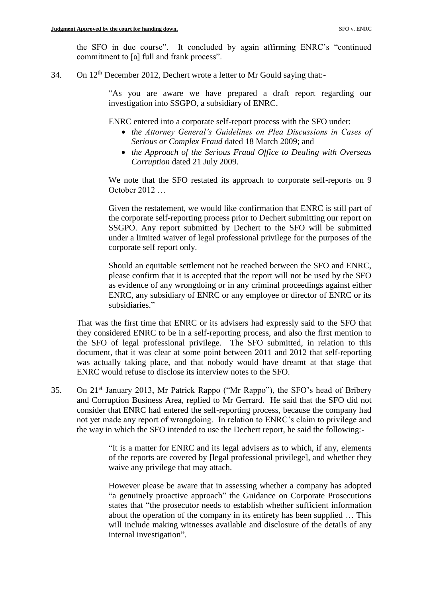the SFO in due course". It concluded by again affirming ENRC's "continued commitment to [a] full and frank process".

34. On 12<sup>th</sup> December 2012, Dechert wrote a letter to Mr Gould saying that:-

"As you are aware we have prepared a draft report regarding our investigation into SSGPO, a subsidiary of ENRC.

ENRC entered into a corporate self-report process with the SFO under:

- *the Attorney General's Guidelines on Plea Discussions in Cases of Serious or Complex Fraud* dated 18 March 2009; and
- *the Approach of the Serious Fraud Office to Dealing with Overseas Corruption* dated 21 July 2009.

We note that the SFO restated its approach to corporate self-reports on 9 October 2012 …

Given the restatement, we would like confirmation that ENRC is still part of the corporate self-reporting process prior to Dechert submitting our report on SSGPO. Any report submitted by Dechert to the SFO will be submitted under a limited waiver of legal professional privilege for the purposes of the corporate self report only.

Should an equitable settlement not be reached between the SFO and ENRC, please confirm that it is accepted that the report will not be used by the SFO as evidence of any wrongdoing or in any criminal proceedings against either ENRC, any subsidiary of ENRC or any employee or director of ENRC or its subsidiaries."

That was the first time that ENRC or its advisers had expressly said to the SFO that they considered ENRC to be in a self-reporting process, and also the first mention to the SFO of legal professional privilege. The SFO submitted, in relation to this document, that it was clear at some point between 2011 and 2012 that self-reporting was actually taking place, and that nobody would have dreamt at that stage that ENRC would refuse to disclose its interview notes to the SFO.

35. On 21st January 2013, Mr Patrick Rappo ("Mr Rappo"), the SFO's head of Bribery and Corruption Business Area, replied to Mr Gerrard. He said that the SFO did not consider that ENRC had entered the self-reporting process, because the company had not yet made any report of wrongdoing. In relation to ENRC's claim to privilege and the way in which the SFO intended to use the Dechert report, he said the following:-

> "It is a matter for ENRC and its legal advisers as to which, if any, elements of the reports are covered by [legal professional privilege], and whether they waive any privilege that may attach.

> However please be aware that in assessing whether a company has adopted "a genuinely proactive approach" the Guidance on Corporate Prosecutions states that "the prosecutor needs to establish whether sufficient information about the operation of the company in its entirety has been supplied … This will include making witnesses available and disclosure of the details of any internal investigation".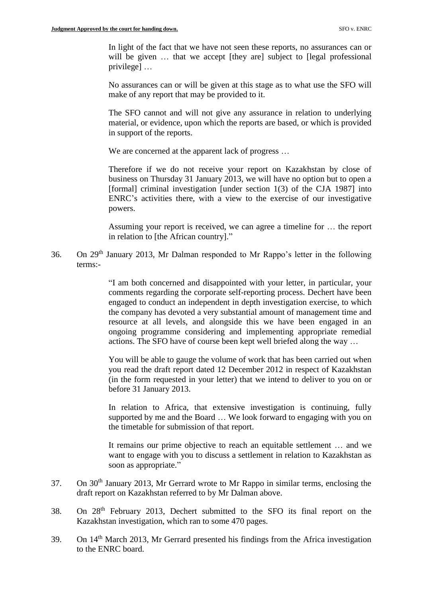In light of the fact that we have not seen these reports, no assurances can or will be given ... that we accept [they are] subject to [legal professional privilege] …

No assurances can or will be given at this stage as to what use the SFO will make of any report that may be provided to it.

The SFO cannot and will not give any assurance in relation to underlying material, or evidence, upon which the reports are based, or which is provided in support of the reports.

We are concerned at the apparent lack of progress ...

Therefore if we do not receive your report on Kazakhstan by close of business on Thursday 31 January 2013, we will have no option but to open a [formal] criminal investigation [under section 1(3) of the CJA 1987] into ENRC's activities there, with a view to the exercise of our investigative powers.

Assuming your report is received, we can agree a timeline for … the report in relation to [the African country]."

36. On 29th January 2013, Mr Dalman responded to Mr Rappo's letter in the following terms:-

> "I am both concerned and disappointed with your letter, in particular, your comments regarding the corporate self-reporting process. Dechert have been engaged to conduct an independent in depth investigation exercise, to which the company has devoted a very substantial amount of management time and resource at all levels, and alongside this we have been engaged in an ongoing programme considering and implementing appropriate remedial actions. The SFO have of course been kept well briefed along the way …

> You will be able to gauge the volume of work that has been carried out when you read the draft report dated 12 December 2012 in respect of Kazakhstan (in the form requested in your letter) that we intend to deliver to you on or before 31 January 2013.

> In relation to Africa, that extensive investigation is continuing, fully supported by me and the Board … We look forward to engaging with you on the timetable for submission of that report.

> It remains our prime objective to reach an equitable settlement … and we want to engage with you to discuss a settlement in relation to Kazakhstan as soon as appropriate."

- 37. On 30th January 2013, Mr Gerrard wrote to Mr Rappo in similar terms, enclosing the draft report on Kazakhstan referred to by Mr Dalman above.
- 38. On 28th February 2013, Dechert submitted to the SFO its final report on the Kazakhstan investigation, which ran to some 470 pages.
- 39. On 14th March 2013, Mr Gerrard presented his findings from the Africa investigation to the ENRC board.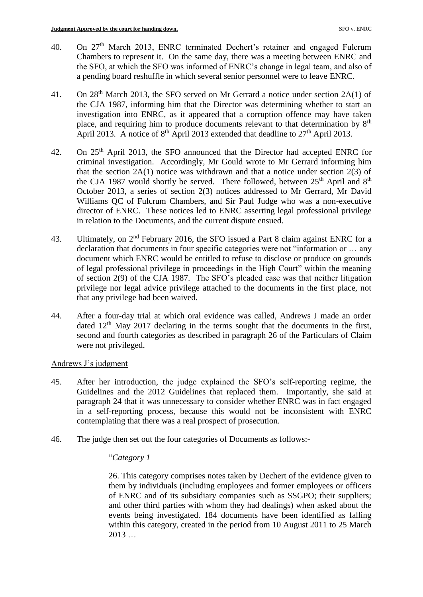- 40. On 27th March 2013, ENRC terminated Dechert's retainer and engaged Fulcrum Chambers to represent it. On the same day, there was a meeting between ENRC and the SFO, at which the SFO was informed of ENRC's change in legal team, and also of a pending board reshuffle in which several senior personnel were to leave ENRC.
- 41. On 28th March 2013, the SFO served on Mr Gerrard a notice under section 2A(1) of the CJA 1987, informing him that the Director was determining whether to start an investigation into ENRC, as it appeared that a corruption offence may have taken place, and requiring him to produce documents relevant to that determination by  $8<sup>th</sup>$ April 2013. A notice of  $8<sup>th</sup>$  April 2013 extended that deadline to  $27<sup>th</sup>$  April 2013.
- 42. On 25<sup>th</sup> April 2013, the SFO announced that the Director had accepted ENRC for criminal investigation. Accordingly, Mr Gould wrote to Mr Gerrard informing him that the section  $2A(1)$  notice was withdrawn and that a notice under section  $2(3)$  of the CJA 1987 would shortly be served. There followed, between  $25<sup>th</sup>$  April and  $8<sup>th</sup>$ October 2013, a series of section 2(3) notices addressed to Mr Gerrard, Mr David Williams QC of Fulcrum Chambers, and Sir Paul Judge who was a non-executive director of ENRC. These notices led to ENRC asserting legal professional privilege in relation to the Documents, and the current dispute ensued.
- 43. Ultimately, on 2<sup>nd</sup> February 2016, the SFO issued a Part 8 claim against ENRC for a declaration that documents in four specific categories were not "information or … any document which ENRC would be entitled to refuse to disclose or produce on grounds of legal professional privilege in proceedings in the High Court" within the meaning of section 2(9) of the CJA 1987. The SFO's pleaded case was that neither litigation privilege nor legal advice privilege attached to the documents in the first place, not that any privilege had been waived.
- 44. After a four-day trial at which oral evidence was called, Andrews J made an order dated  $12<sup>th</sup>$  May 2017 declaring in the terms sought that the documents in the first, second and fourth categories as described in paragraph 26 of the Particulars of Claim were not privileged.

## Andrews J's judgment

- 45. After her introduction, the judge explained the SFO's self-reporting regime, the Guidelines and the 2012 Guidelines that replaced them. Importantly, she said at paragraph 24 that it was unnecessary to consider whether ENRC was in fact engaged in a self-reporting process, because this would not be inconsistent with ENRC contemplating that there was a real prospect of prosecution.
- 46. The judge then set out the four categories of Documents as follows:-

## "*Category 1*

26. This category comprises notes taken by Dechert of the evidence given to them by individuals (including employees and former employees or officers of ENRC and of its subsidiary companies such as SSGPO; their suppliers; and other third parties with whom they had dealings) when asked about the events being investigated. 184 documents have been identified as falling within this category, created in the period from 10 August 2011 to 25 March 2013 …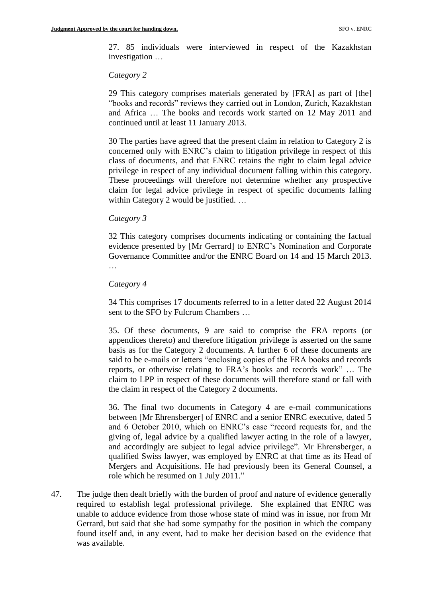27. 85 individuals were interviewed in respect of the Kazakhstan investigation …

#### *Category 2*

29 This category comprises materials generated by [FRA] as part of [the] "books and records" reviews they carried out in London, Zurich, Kazakhstan and Africa … The books and records work started on 12 May 2011 and continued until at least 11 January 2013.

30 The parties have agreed that the present claim in relation to Category 2 is concerned only with ENRC's claim to litigation privilege in respect of this class of documents, and that ENRC retains the right to claim legal advice privilege in respect of any individual document falling within this category. These proceedings will therefore not determine whether any prospective claim for legal advice privilege in respect of specific documents falling within Category 2 would be justified. ...

#### *Category 3*

32 This category comprises documents indicating or containing the factual evidence presented by [Mr Gerrard] to ENRC's Nomination and Corporate Governance Committee and/or the ENRC Board on 14 and 15 March 2013. …

#### *Category 4*

34 This comprises 17 documents referred to in a letter dated 22 August 2014 sent to the SFO by Fulcrum Chambers …

35. Of these documents, 9 are said to comprise the FRA reports (or appendices thereto) and therefore litigation privilege is asserted on the same basis as for the Category 2 documents. A further 6 of these documents are said to be e-mails or letters "enclosing copies of the FRA books and records reports, or otherwise relating to FRA's books and records work" … The claim to LPP in respect of these documents will therefore stand or fall with the claim in respect of the Category 2 documents.

36. The final two documents in Category 4 are e-mail communications between [Mr Ehrensberger] of ENRC and a senior ENRC executive, dated 5 and 6 October 2010, which on ENRC's case "record requests for, and the giving of, legal advice by a qualified lawyer acting in the role of a lawyer, and accordingly are subject to legal advice privilege". Mr Ehrensberger, a qualified Swiss lawyer, was employed by ENRC at that time as its Head of Mergers and Acquisitions. He had previously been its General Counsel, a role which he resumed on 1 July 2011."

47. The judge then dealt briefly with the burden of proof and nature of evidence generally required to establish legal professional privilege. She explained that ENRC was unable to adduce evidence from those whose state of mind was in issue, nor from Mr Gerrard, but said that she had some sympathy for the position in which the company found itself and, in any event, had to make her decision based on the evidence that was available.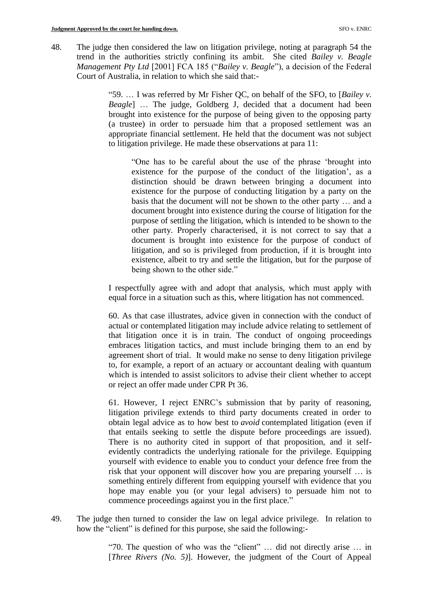48. The judge then considered the law on litigation privilege, noting at paragraph 54 the trend in the authorities strictly confining its ambit. She cited *Bailey v. Beagle Management Pty Ltd* [2001] FCA 185 ("*Bailey v. Beagle*"), a decision of the Federal Court of Australia, in relation to which she said that:-

> "59. … I was referred by Mr Fisher QC, on behalf of the SFO, to [*Bailey v. Beagle*] … The judge, Goldberg J, decided that a document had been brought into existence for the purpose of being given to the opposing party (a trustee) in order to persuade him that a proposed settlement was an appropriate financial settlement. He held that the document was not subject to litigation privilege. He made these observations at para 11:

"One has to be careful about the use of the phrase 'brought into existence for the purpose of the conduct of the litigation', as a distinction should be drawn between bringing a document into existence for the purpose of conducting litigation by a party on the basis that the document will not be shown to the other party … and a document brought into existence during the course of litigation for the purpose of settling the litigation, which is intended to be shown to the other party. Properly characterised, it is not correct to say that a document is brought into existence for the purpose of conduct of litigation, and so is privileged from production, if it is brought into existence, albeit to try and settle the litigation, but for the purpose of being shown to the other side."

I respectfully agree with and adopt that analysis, which must apply with equal force in a situation such as this, where litigation has not commenced.

60. As that case illustrates, advice given in connection with the conduct of actual or contemplated litigation may include advice relating to settlement of that litigation once it is in train. The conduct of ongoing proceedings embraces litigation tactics, and must include bringing them to an end by agreement short of trial. It would make no sense to deny litigation privilege to, for example, a report of an actuary or accountant dealing with quantum which is intended to assist solicitors to advise their client whether to accept or reject an offer made under [CPR Pt 36.](https://login.westlaw.co.uk/maf/wluk/app/document?src=doc&linktype=ref&context=15&crumb-action=replace&docguid=I0E62E610E45011DA8D70A0E70A78ED65)

61. However, I reject ENRC's submission that by parity of reasoning, litigation privilege extends to third party documents created in order to obtain legal advice as to how best to *avoid* contemplated litigation (even if that entails seeking to settle the dispute before proceedings are issued). There is no authority cited in support of that proposition, and it selfevidently contradicts the underlying rationale for the privilege. Equipping yourself with evidence to enable you to conduct your defence free from the risk that your opponent will discover how you are preparing yourself … is something entirely different from equipping yourself with evidence that you hope may enable you (or your legal advisers) to persuade him not to commence proceedings against you in the first place."

49. The judge then turned to consider the law on legal advice privilege. In relation to how the "client" is defined for this purpose, she said the following:-

> "70. The question of who was the "client" … did not directly arise … in [*Three Rivers (No. 5)*]. However, the judgment of the Court of Appeal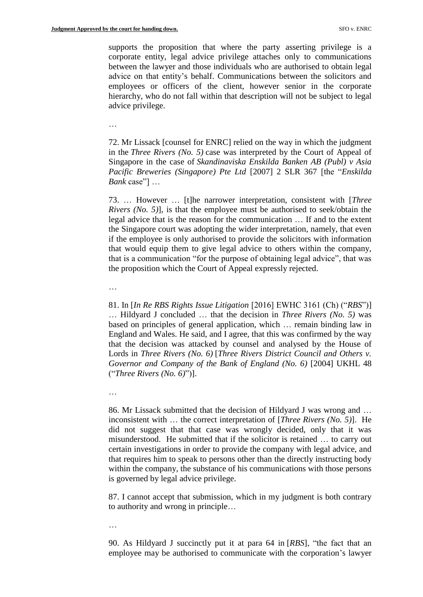supports the proposition that where the party asserting privilege is a corporate entity, legal advice privilege attaches only to communications between the lawyer and those individuals who are authorised to obtain legal advice on that entity's behalf. Communications between the solicitors and employees or officers of the client, however senior in the corporate hierarchy, who do not fall within that description will not be subject to legal advice privilege.

…

72. Mr Lissack [counsel for ENRC] relied on the way in which the judgment in the *Three Rivers (No. 5)* case was interpreted by the Court of Appeal of Singapore in the case of *Skandinaviska Enskilda Banken AB (Publ) v Asia Pacific Breweries (Singapore) Pte Ltd* [2007] 2 SLR 367 [the "*Enskilda Bank* case"] …

73. … However … [t]he narrower interpretation, consistent with [*Three Rivers (No. 5)*], is that the employee must be authorised to seek/obtain the legal advice that is the reason for the communication … If and to the extent the Singapore court was adopting the wider interpretation, namely, that even if the employee is only authorised to provide the solicitors with information that would equip them to give legal advice to others within the company, that is a communication "for the purpose of obtaining legal advice", that was the proposition which the Court of Appeal expressly rejected.

…

81. In [*In Re RBS Rights Issue Litigation* [2016] EWHC 3161 (Ch) ("*RBS*")] … Hildyard J concluded … that the decision in *Three Rivers (No. 5)* was based on principles of general application, which … remain binding law in England and Wales. He said, and I agree, that this was confirmed by the way that the decision was attacked by counsel and analysed by the House of Lords in *Three Rivers (No. 6)* [*Three Rivers District Council and Others v.*  Governor and Company of the Bank of England (No. 6) [2004] UKHL 48 ("*Three Rivers (No. 6)*")].

…

86. Mr Lissack submitted that the decision of Hildyard J was wrong and … inconsistent with … the correct interpretation of [*Three Rivers (No. 5)*]. He did not suggest that that case was wrongly decided, only that it was misunderstood. He submitted that if the solicitor is retained … to carry out certain investigations in order to provide the company with legal advice, and that requires him to speak to persons other than the directly instructing body within the company, the substance of his communications with those persons is governed by legal advice privilege.

87. I cannot accept that submission, which in my judgment is both contrary to authority and wrong in principle…

…

90. As Hildyard J succinctly put it at para 64 in [*RBS*], "the fact that an employee may be authorised to communicate with the corporation's lawyer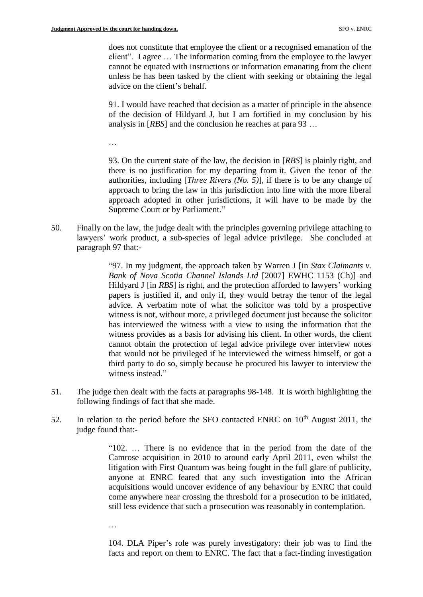does not constitute that employee the client or a recognised emanation of the client". I agree … The information coming from the employee to the lawyer cannot be equated with instructions or information emanating from the client unless he has been tasked by the client with seeking or obtaining the legal advice on the client's behalf.

91. I would have reached that decision as a matter of principle in the absence of the decision of Hildyard J, but I am fortified in my conclusion by his analysis in [*RBS*] and the conclusion he reaches at para 93 …

…

93. On the current state of the law, the decision in [*RBS*] is plainly right, and there is no justification for my departing from it. Given the tenor of the authorities, including [*Three Rivers (No. 5)*], if there is to be any change of approach to bring the law in this jurisdiction into line with the more liberal approach adopted in other jurisdictions, it will have to be made by the Supreme Court or by Parliament."

50. Finally on the law, the judge dealt with the principles governing privilege attaching to lawyers' work product, a sub-species of legal advice privilege. She concluded at paragraph 97 that:-

> "97. In my judgment, the approach taken by Warren J [in *Stax Claimants v. Bank of Nova Scotia Channel Islands Ltd* [2007] EWHC 1153 (Ch)] and Hildyard J [in *RBS*] is right, and the protection afforded to lawyers' working papers is justified if, and only if, they would betray the tenor of the legal advice. A verbatim note of what the solicitor was told by a prospective witness is not, without more, a privileged document just because the solicitor has interviewed the witness with a view to using the information that the witness provides as a basis for advising his client. In other words, the client cannot obtain the protection of legal advice privilege over interview notes that would not be privileged if he interviewed the witness himself, or got a third party to do so, simply because he procured his lawyer to interview the witness instead."

- 51. The judge then dealt with the facts at paragraphs 98-148. It is worth highlighting the following findings of fact that she made.
- 52. In relation to the period before the SFO contacted ENRC on 10<sup>th</sup> August 2011, the judge found that:-

"102. … There is no evidence that in the period from the date of the Camrose acquisition in 2010 to around early April 2011, even whilst the litigation with First Quantum was being fought in the full glare of publicity, anyone at ENRC feared that any such investigation into the African acquisitions would uncover evidence of any behaviour by ENRC that could come anywhere near crossing the threshold for a prosecution to be initiated, still less evidence that such a prosecution was reasonably in contemplation.

…

104. DLA Piper's role was purely investigatory: their job was to find the facts and report on them to ENRC. The fact that a fact-finding investigation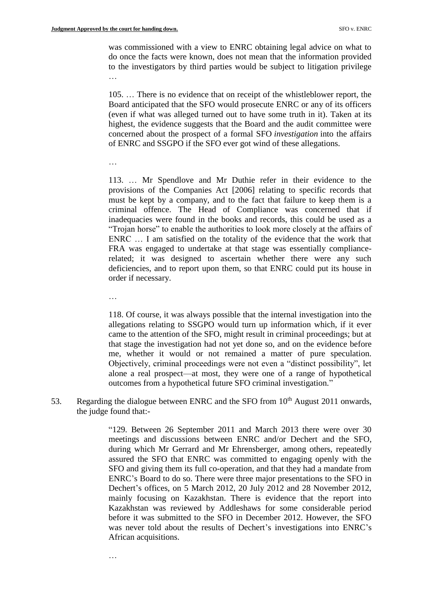was commissioned with a view to ENRC obtaining legal advice on what to do once the facts were known, does not mean that the information provided to the investigators by third parties would be subject to litigation privilege …

105. … There is no evidence that on receipt of the whistleblower report, the Board anticipated that the SFO would prosecute ENRC or any of its officers (even if what was alleged turned out to have some truth in it). Taken at its highest, the evidence suggests that the Board and the audit committee were concerned about the prospect of a formal SFO *investigation* into the affairs of ENRC and SSGPO if the SFO ever got wind of these allegations.

…

113. … Mr Spendlove and Mr Duthie refer in their evidence to the provisions of the Companies Act [2006] relating to specific records that must be kept by a company, and to the fact that failure to keep them is a criminal offence. The Head of Compliance was concerned that if inadequacies were found in the books and records, this could be used as a "Trojan horse" to enable the authorities to look more closely at the affairs of ENRC … I am satisfied on the totality of the evidence that the work that FRA was engaged to undertake at that stage was essentially compliancerelated; it was designed to ascertain whether there were any such deficiencies, and to report upon them, so that ENRC could put its house in order if necessary.

…

118. Of course, it was always possible that the internal investigation into the allegations relating to SSGPO would turn up information which, if it ever came to the attention of the SFO, might result in criminal proceedings; but at that stage the investigation had not yet done so, and on the evidence before me, whether it would or not remained a matter of pure speculation. Objectively, criminal proceedings were not even a "distinct possibility", let alone a real prospect—at most, they were one of a range of hypothetical outcomes from a hypothetical future SFO criminal investigation."

53. Regarding the dialogue between ENRC and the SFO from 10<sup>th</sup> August 2011 onwards, the judge found that:-

> "129. Between 26 September 2011 and March 2013 there were over 30 meetings and discussions between ENRC and/or Dechert and the SFO, during which Mr Gerrard and Mr Ehrensberger, among others, repeatedly assured the SFO that ENRC was committed to engaging openly with the SFO and giving them its full co-operation, and that they had a mandate from ENRC's Board to do so. There were three major presentations to the SFO in Dechert's offices, on 5 March 2012, 20 July 2012 and 28 November 2012, mainly focusing on Kazakhstan. There is evidence that the report into Kazakhstan was reviewed by Addleshaws for some considerable period before it was submitted to the SFO in December 2012. However, the SFO was never told about the results of Dechert's investigations into ENRC's African acquisitions.

…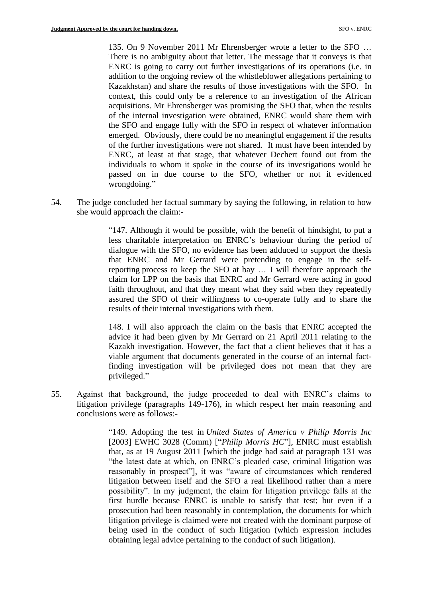135. On 9 November 2011 Mr Ehrensberger wrote a letter to the SFO … There is no ambiguity about that letter. The message that it conveys is that ENRC is going to carry out further investigations of its operations (i.e. in addition to the ongoing review of the whistleblower allegations pertaining to Kazakhstan) and share the results of those investigations with the SFO. In context, this could only be a reference to an investigation of the African acquisitions. Mr Ehrensberger was promising the SFO that, when the results of the internal investigation were obtained, ENRC would share them with the SFO and engage fully with the SFO in respect of whatever information emerged. Obviously, there could be no meaningful engagement if the results of the further investigations were not shared. It must have been intended by ENRC, at least at that stage, that whatever Dechert found out from the individuals to whom it spoke in the course of its investigations would be passed on in due course to the SFO, whether or not it evidenced wrongdoing."

54. The judge concluded her factual summary by saying the following, in relation to how she would approach the claim:-

> "147. Although it would be possible, with the benefit of hindsight, to put a less charitable interpretation on ENRC's behaviour during the period of dialogue with the SFO, no evidence has been adduced to support the thesis that ENRC and Mr Gerrard were pretending to engage in the selfreporting process to keep the SFO at bay … I will therefore approach the claim for LPP on the basis that ENRC and Mr Gerrard were acting in good faith throughout, and that they meant what they said when they repeatedly assured the SFO of their willingness to co-operate fully and to share the results of their internal investigations with them.

> 148. I will also approach the claim on the basis that ENRC accepted the advice it had been given by Mr Gerrard on 21 April 2011 relating to the Kazakh investigation. However, the fact that a client believes that it has a viable argument that documents generated in the course of an internal factfinding investigation will be privileged does not mean that they are privileged."

55. Against that background, the judge proceeded to deal with ENRC's claims to litigation privilege (paragraphs 149-176), in which respect her main reasoning and conclusions were as follows:-

> "149. Adopting the test in *[United States of America v Philip Morris Inc](http://login.westlaw.co.uk/maf/wluk/ext/app/document?sp=at70232412-55123&src=doc&linktype=ref&context=39&crumb-action=replace&docguid=IE0378290E42811DA8FC2A0F0355337E9)*  [2003] EWHC 3028 (Comm) ["*Philip Morris HC*"], ENRC must establish that, as at 19 August 2011 [which the judge had said at paragraph 131 was "the latest date at which, on ENRC's pleaded case, criminal litigation was reasonably in prospect"], it was "aware of circumstances which rendered litigation between itself and the SFO a real likelihood rather than a mere possibility". In my judgment, the claim for litigation privilege falls at the first hurdle because ENRC is unable to satisfy that test; but even if a prosecution had been reasonably in contemplation, the documents for which litigation privilege is claimed were not created with the dominant purpose of being used in the conduct of such litigation (which expression includes obtaining legal advice pertaining to the conduct of such litigation).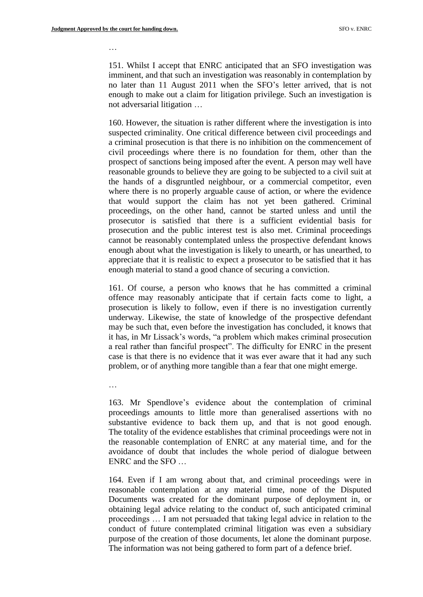…

151. Whilst I accept that ENRC anticipated that an SFO investigation was imminent, and that such an investigation was reasonably in contemplation by no later than 11 August 2011 when the SFO's letter arrived, that is not enough to make out a claim for litigation privilege. Such an investigation is not adversarial litigation …

160. However, the situation is rather different where the investigation is into suspected criminality. One critical difference between civil proceedings and a criminal prosecution is that there is no inhibition on the commencement of civil proceedings where there is no foundation for them, other than the prospect of sanctions being imposed after the event. A person may well have reasonable grounds to believe they are going to be subjected to a civil suit at the hands of a disgruntled neighbour, or a commercial competitor, even where there is no properly arguable cause of action, or where the evidence that would support the claim has not yet been gathered. Criminal proceedings, on the other hand, cannot be started unless and until the prosecutor is satisfied that there is a sufficient evidential basis for prosecution and the public interest test is also met. Criminal proceedings cannot be reasonably contemplated unless the prospective defendant knows enough about what the investigation is likely to unearth, or has unearthed, to appreciate that it is realistic to expect a prosecutor to be satisfied that it has enough material to stand a good chance of securing a conviction.

161. Of course, a person who knows that he has committed a criminal offence may reasonably anticipate that if certain facts come to light, a prosecution is likely to follow, even if there is no investigation currently underway. Likewise, the state of knowledge of the prospective defendant may be such that, even before the investigation has concluded, it knows that it has, in Mr Lissack's words, "a problem which makes criminal prosecution a real rather than fanciful prospect". The difficulty for ENRC in the present case is that there is no evidence that it was ever aware that it had any such problem, or of anything more tangible than a fear that one might emerge.

…

163. Mr Spendlove's evidence about the contemplation of criminal proceedings amounts to little more than generalised assertions with no substantive evidence to back them up, and that is not good enough. The totality of the evidence establishes that criminal proceedings were not in the reasonable contemplation of ENRC at any material time, and for the avoidance of doubt that includes the whole period of dialogue between ENRC and the SFO …

164. Even if I am wrong about that, and criminal proceedings were in reasonable contemplation at any material time, none of the Disputed Documents was created for the dominant purpose of deployment in, or obtaining legal advice relating to the conduct of, such anticipated criminal proceedings … I am not persuaded that taking legal advice in relation to the conduct of future contemplated criminal litigation was even a subsidiary purpose of the creation of those documents, let alone the dominant purpose. The information was not being gathered to form part of a defence brief.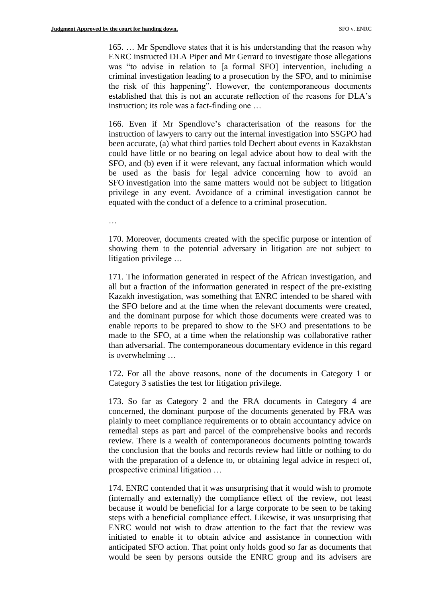165. … Mr Spendlove states that it is his understanding that the reason why ENRC instructed DLA Piper and Mr Gerrard to investigate those allegations was "to advise in relation to [a formal SFO] intervention, including a criminal investigation leading to a prosecution by the SFO, and to minimise the risk of this happening". However, the contemporaneous documents established that this is not an accurate reflection of the reasons for DLA's instruction; its role was a fact-finding one …

166. Even if Mr Spendlove's characterisation of the reasons for the instruction of lawyers to carry out the internal investigation into SSGPO had been accurate, (a) what third parties told Dechert about events in Kazakhstan could have little or no bearing on legal advice about how to deal with the SFO, and (b) even if it were relevant, any factual information which would be used as the basis for legal advice concerning how to avoid an SFO investigation into the same matters would not be subject to litigation privilege in any event. Avoidance of a criminal investigation cannot be equated with the conduct of a defence to a criminal prosecution.

…

170. Moreover, documents created with the specific purpose or intention of showing them to the potential adversary in litigation are not subject to litigation privilege …

171. The information generated in respect of the African investigation, and all but a fraction of the information generated in respect of the pre-existing Kazakh investigation, was something that ENRC intended to be shared with the SFO before and at the time when the relevant documents were created, and the dominant purpose for which those documents were created was to enable reports to be prepared to show to the SFO and presentations to be made to the SFO, at a time when the relationship was collaborative rather than adversarial. The contemporaneous documentary evidence in this regard is overwhelming …

172. For all the above reasons, none of the documents in Category 1 or Category 3 satisfies the test for litigation privilege.

173. So far as Category 2 and the FRA documents in Category 4 are concerned, the dominant purpose of the documents generated by FRA was plainly to meet compliance requirements or to obtain accountancy advice on remedial steps as part and parcel of the comprehensive books and records review. There is a wealth of contemporaneous documents pointing towards the conclusion that the books and records review had little or nothing to do with the preparation of a defence to, or obtaining legal advice in respect of, prospective criminal litigation …

174. ENRC contended that it was unsurprising that it would wish to promote (internally and externally) the compliance effect of the review, not least because it would be beneficial for a large corporate to be seen to be taking steps with a beneficial compliance effect. Likewise, it was unsurprising that ENRC would not wish to draw attention to the fact that the review was initiated to enable it to obtain advice and assistance in connection with anticipated SFO action. That point only holds good so far as documents that would be seen by persons outside the ENRC group and its advisers are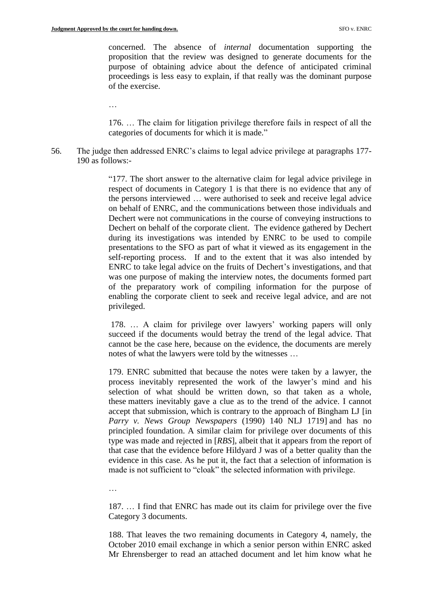concerned. The absence of *internal* documentation supporting the proposition that the review was designed to generate documents for the purpose of obtaining advice about the defence of anticipated criminal proceedings is less easy to explain, if that really was the dominant purpose of the exercise.

…

176. … The claim for litigation privilege therefore fails in respect of all the categories of documents for which it is made."

56. The judge then addressed ENRC's claims to legal advice privilege at paragraphs 177- 190 as follows:-

> "177. The short answer to the alternative claim for legal advice privilege in respect of documents in Category 1 is that there is no evidence that any of the persons interviewed … were authorised to seek and receive legal advice on behalf of ENRC, and the communications between those individuals and Dechert were not communications in the course of conveying instructions to Dechert on behalf of the corporate client. The evidence gathered by Dechert during its investigations was intended by ENRC to be used to compile presentations to the SFO as part of what it viewed as its engagement in the self-reporting process. If and to the extent that it was also intended by ENRC to take legal advice on the fruits of Dechert's investigations, and that was one purpose of making the interview notes, the documents formed part of the preparatory work of compiling information for the purpose of enabling the corporate client to seek and receive legal advice, and are not privileged.

> 178. … A claim for privilege over lawyers' working papers will only succeed if the documents would betray the trend of the legal advice. That cannot be the case here, because on the evidence, the documents are merely notes of what the lawyers were told by the witnesses …

> 179. ENRC submitted that because the notes were taken by a lawyer, the process inevitably represented the work of the lawyer's mind and his selection of what should be written down, so that taken as a whole, these matters inevitably gave a clue as to the trend of the advice. I cannot accept that submission, which is contrary to the approach of Bingham LJ [in *Parry v. [News Group Newspapers](https://login.westlaw.co.uk/maf/wluk/app/document?src=doc&linktype=ref&context=14&crumb-action=replace&docguid=I7FCD9F80E43611DA8FC2A0F0355337E9)* (1990) 140 NLJ 1719] and has no principled foundation. A similar claim for privilege over documents of this type was made and rejected in [*RBS*], albeit that it appears from the report of that case that the evidence before Hildyard J was of a better quality than the evidence in this case. As he put it, the fact that a selection of information is made is not sufficient to "cloak" the selected information with privilege.

…

187. … I find that ENRC has made out its claim for privilege over the five Category 3 documents.

188. That leaves the two remaining documents in Category 4, namely, the October 2010 email exchange in which a senior person within ENRC asked Mr Ehrensberger to read an attached document and let him know what he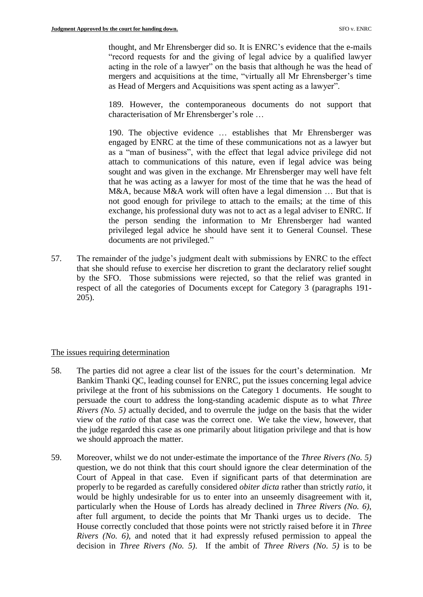thought, and Mr Ehrensberger did so. It is ENRC's evidence that the e-mails "record requests for and the giving of legal advice by a qualified lawyer acting in the role of a lawyer" on the basis that although he was the head of mergers and acquisitions at the time, "virtually all Mr Ehrensberger's time as Head of Mergers and Acquisitions was spent acting as a lawyer".

189. However, the contemporaneous documents do not support that characterisation of Mr Ehrensberger's role …

190. The objective evidence … establishes that Mr Ehrensberger was engaged by ENRC at the time of these communications not as a lawyer but as a "man of business", with the effect that legal advice privilege did not attach to communications of this nature, even if legal advice was being sought and was given in the exchange. Mr Ehrensberger may well have felt that he was acting as a lawyer for most of the time that he was the head of M&A, because M&A work will often have a legal dimension … But that is not good enough for privilege to attach to the emails; at the time of this exchange, his professional duty was not to act as a legal adviser to ENRC. If the person sending the information to Mr Ehrensberger had wanted privileged legal advice he should have sent it to General Counsel. These documents are not privileged."

57. The remainder of the judge's judgment dealt with submissions by ENRC to the effect that she should refuse to exercise her discretion to grant the declaratory relief sought by the SFO. Those submissions were rejected, so that the relief was granted in respect of all the categories of Documents except for Category 3 (paragraphs 191- 205).

# The issues requiring determination

- 58. The parties did not agree a clear list of the issues for the court's determination. Mr Bankim Thanki QC, leading counsel for ENRC, put the issues concerning legal advice privilege at the front of his submissions on the Category 1 documents. He sought to persuade the court to address the long-standing academic dispute as to what *Three Rivers (No. 5)* actually decided, and to overrule the judge on the basis that the wider view of the *ratio* of that case was the correct one. We take the view, however, that the judge regarded this case as one primarily about litigation privilege and that is how we should approach the matter.
- 59. Moreover, whilst we do not under-estimate the importance of the *Three Rivers (No. 5)* question, we do not think that this court should ignore the clear determination of the Court of Appeal in that case. Even if significant parts of that determination are properly to be regarded as carefully considered *obiter dicta* rather than strictly *ratio*, it would be highly undesirable for us to enter into an unseemly disagreement with it, particularly when the House of Lords has already declined in *Three Rivers (No. 6)*, after full argument, to decide the points that Mr Thanki urges us to decide. The House correctly concluded that those points were not strictly raised before it in *Three Rivers (No. 6)*, and noted that it had expressly refused permission to appeal the decision in *Three Rivers (No. 5)*. If the ambit of *Three Rivers (No. 5)* is to be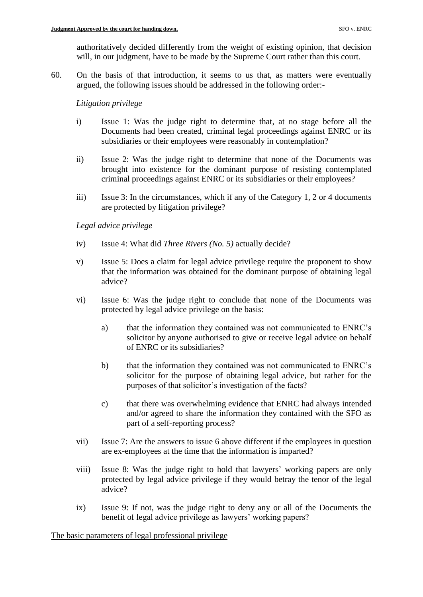authoritatively decided differently from the weight of existing opinion, that decision will, in our judgment, have to be made by the Supreme Court rather than this court.

60. On the basis of that introduction, it seems to us that, as matters were eventually argued, the following issues should be addressed in the following order:-

*Litigation privilege*

- i) Issue 1: Was the judge right to determine that, at no stage before all the Documents had been created, criminal legal proceedings against ENRC or its subsidiaries or their employees were reasonably in contemplation?
- ii) Issue 2: Was the judge right to determine that none of the Documents was brought into existence for the dominant purpose of resisting contemplated criminal proceedings against ENRC or its subsidiaries or their employees?
- iii) Issue 3: In the circumstances, which if any of the Category 1, 2 or 4 documents are protected by litigation privilege?

*Legal advice privilege*

- iv) Issue 4: What did *Three Rivers (No. 5)* actually decide?
- v) Issue 5: Does a claim for legal advice privilege require the proponent to show that the information was obtained for the dominant purpose of obtaining legal advice?
- vi) Issue 6: Was the judge right to conclude that none of the Documents was protected by legal advice privilege on the basis:
	- a) that the information they contained was not communicated to ENRC's solicitor by anyone authorised to give or receive legal advice on behalf of ENRC or its subsidiaries?
	- b) that the information they contained was not communicated to ENRC's solicitor for the purpose of obtaining legal advice, but rather for the purposes of that solicitor's investigation of the facts?
	- c) that there was overwhelming evidence that ENRC had always intended and/or agreed to share the information they contained with the SFO as part of a self-reporting process?
- vii) Issue 7: Are the answers to issue 6 above different if the employees in question are ex-employees at the time that the information is imparted?
- viii) Issue 8: Was the judge right to hold that lawyers' working papers are only protected by legal advice privilege if they would betray the tenor of the legal advice?
- ix) Issue 9: If not, was the judge right to deny any or all of the Documents the benefit of legal advice privilege as lawyers' working papers?

The basic parameters of legal professional privilege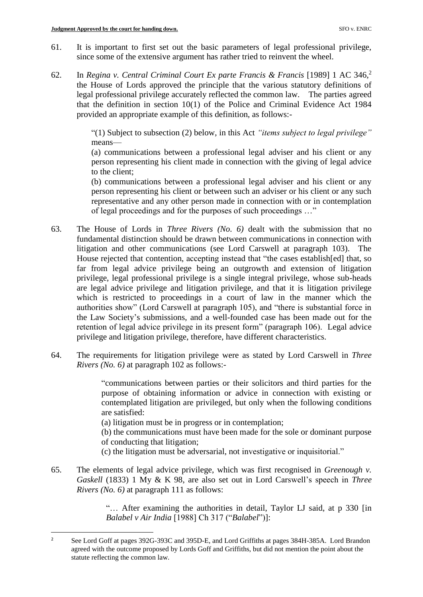- 61. It is important to first set out the basic parameters of legal professional privilege, since some of the extensive argument has rather tried to reinvent the wheel.
- 62. In *Regina v. Central Criminal Court Ex parte Francis & Francis* [1989] 1 AC 346, 2 the House of Lords approved the principle that the various statutory definitions of legal professional privilege accurately reflected the common law. The parties agreed that the definition in section 10(1) of the Police and Criminal Evidence Act 1984 provided an appropriate example of this definition, as follows:-

"(1) Subject to subsection (2) below, in this Act *"items subject to legal privilege"*  means—

(a) communications between a professional legal adviser and his client or any person representing his client made in connection with the giving of legal advice to the client;

(b) communications between a professional legal adviser and his client or any person representing his client or between such an adviser or his client or any such representative and any other person made in connection with or in contemplation of legal proceedings and for the purposes of such proceedings …"

- 63. The House of Lords in *Three Rivers (No. 6)* dealt with the submission that no fundamental distinction should be drawn between communications in connection with litigation and other communications (see Lord Carswell at paragraph 103). The House rejected that contention, accepting instead that "the cases establish[ed] that, so far from legal advice privilege being an outgrowth and extension of litigation privilege, legal professional privilege is a single integral privilege, whose sub-heads are legal advice privilege and litigation privilege, and that it is litigation privilege which is restricted to proceedings in a court of law in the manner which the authorities show" (Lord Carswell at paragraph 105), and "there is substantial force in the Law Society's submissions, and a well-founded case has been made out for the retention of legal advice privilege in its present form" (paragraph 106). Legal advice privilege and litigation privilege, therefore, have different characteristics.
- 64. The requirements for litigation privilege were as stated by Lord Carswell in *Three Rivers (No. 6)* at paragraph 102 as follows:-

"communications between parties or their solicitors and third parties for the purpose of obtaining information or advice in connection with existing or contemplated litigation are privileged, but only when the following conditions are satisfied:

(a) litigation must be in progress or in contemplation;

(b) the communications must have been made for the sole or dominant purpose of conducting that litigation;

- (c) the litigation must be adversarial, not investigative or inquisitorial."
- 65. The elements of legal advice privilege, which was first recognised in *Greenough v. Gaskell* (1833) 1 My & K 98, are also set out in Lord Carswell's speech in *Three Rivers (No. 6)* at paragraph 111 as follows:

"… After examining the authorities in detail, Taylor LJ said, at p 330 [in *Balabel v Air India* [1988] Ch 317 ("*Balabel*")]:

<u>.</u>

<sup>&</sup>lt;sup>2</sup> See Lord Goff at pages 392G-393C and 395D-E, and Lord Griffiths at pages 384H-385A. Lord Brandon agreed with the outcome proposed by Lords Goff and Griffiths, but did not mention the point about the statute reflecting the common law.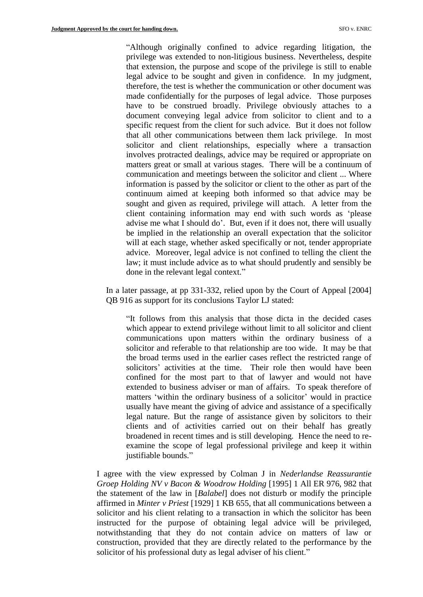"Although originally confined to advice regarding litigation, the privilege was extended to non-litigious business. Nevertheless, despite that extension, the purpose and scope of the privilege is still to enable legal advice to be sought and given in confidence. In my judgment, therefore, the test is whether the communication or other document was made confidentially for the purposes of legal advice. Those purposes have to be construed broadly. Privilege obviously attaches to a document conveying legal advice from solicitor to client and to a specific request from the client for such advice. But it does not follow that all other communications between them lack privilege. In most solicitor and client relationships, especially where a transaction involves protracted dealings, advice may be required or appropriate on matters great or small at various stages. There will be a continuum of communication and meetings between the solicitor and client ... Where information is passed by the solicitor or client to the other as part of the continuum aimed at keeping both informed so that advice may be sought and given as required, privilege will attach. A letter from the client containing information may end with such words as 'please advise me what I should do'. But, even if it does not, there will usually be implied in the relationship an overall expectation that the solicitor will at each stage, whether asked specifically or not, tender appropriate advice. Moreover, legal advice is not confined to telling the client the law; it must include advice as to what should prudently and sensibly be done in the relevant legal context."

In a later passage, at pp 331-332, relied upon by the Court of Appeal [2004] QB 916 as support for its conclusions Taylor LJ stated:

"It follows from this analysis that those dicta in the decided cases which appear to extend privilege without limit to all solicitor and client communications upon matters within the ordinary business of a solicitor and referable to that relationship are too wide. It may be that the broad terms used in the earlier cases reflect the restricted range of solicitors' activities at the time. Their role then would have been confined for the most part to that of lawyer and would not have extended to business adviser or man of affairs. To speak therefore of matters 'within the ordinary business of a solicitor' would in practice usually have meant the giving of advice and assistance of a specifically legal nature. But the range of assistance given by solicitors to their clients and of activities carried out on their behalf has greatly broadened in recent times and is still developing. Hence the need to reexamine the scope of legal professional privilege and keep it within justifiable bounds."

I agree with the view expressed by Colman J in *[Nederlandse Reassurantie](http://login.westlaw.co.uk/maf/wluk/ext/app/document?sp=at70232412-55123&src=doc&linktype=ref&context=17&crumb-action=replace&docguid=I0C01F2D1E42811DA8FC2A0F0355337E9)  [Groep Holding NV v Bacon & Woodrow Holding](http://login.westlaw.co.uk/maf/wluk/ext/app/document?sp=at70232412-55123&src=doc&linktype=ref&context=17&crumb-action=replace&docguid=I0C01F2D1E42811DA8FC2A0F0355337E9)* [1995] 1 All ER 976, 982 that the statement of the law in [\[](http://login.westlaw.co.uk/maf/wluk/ext/app/document?sp=at70232412-55123&src=doc&linktype=ref&context=17&crumb-action=replace&docguid=I6DF485D0E42711DA8FC2A0F0355337E9)*Balabel*] does not disturb or modify the principle affirmed in *Minter v Priest* [\[1929\] 1 KB 655,](http://login.westlaw.co.uk/maf/wluk/ext/app/document?sp=at70232412-55123&src=doc&linktype=ref&context=17&crumb-action=replace&docguid=IFB7D95E0E42711DA8FC2A0F0355337E9) that all communications between a solicitor and his client relating to a transaction in which the solicitor has been instructed for the purpose of obtaining legal advice will be privileged, notwithstanding that they do not contain advice on matters of law or construction, provided that they are directly related to the performance by the solicitor of his professional duty as legal adviser of his client."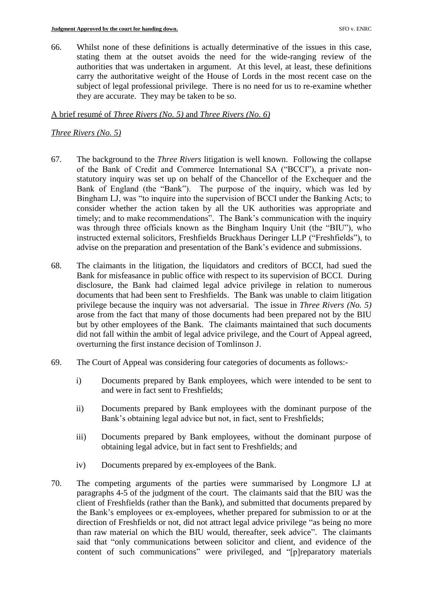66. Whilst none of these definitions is actually determinative of the issues in this case, stating them at the outset avoids the need for the wide-ranging review of the authorities that was undertaken in argument. At this level, at least, these definitions carry the authoritative weight of the House of Lords in the most recent case on the subject of legal professional privilege. There is no need for us to re-examine whether they are accurate. They may be taken to be so.

A brief resumé of *Three Rivers (No. 5)* and *Three Rivers (No. 6)*

#### *Three Rivers (No. 5)*

- 67. The background to the *Three Rivers* litigation is well known. Following the collapse of the Bank of Credit and Commerce International SA ("BCCI"), a private nonstatutory inquiry was set up on behalf of the Chancellor of the Exchequer and the Bank of England (the "Bank"). The purpose of the inquiry, which was led by Bingham LJ, was "to inquire into the supervision of BCCI under the Banking Acts; to consider whether the action taken by all the UK authorities was appropriate and timely; and to make recommendations". The Bank's communication with the inquiry was through three officials known as the Bingham Inquiry Unit (the "BIU"), who instructed external solicitors, Freshfields Bruckhaus Deringer LLP ("Freshfields"), to advise on the preparation and presentation of the Bank's evidence and submissions.
- 68. The claimants in the litigation, the liquidators and creditors of BCCI, had sued the Bank for misfeasance in public office with respect to its supervision of BCCI. During disclosure, the Bank had claimed legal advice privilege in relation to numerous documents that had been sent to Freshfields. The Bank was unable to claim litigation privilege because the inquiry was not adversarial. The issue in *Three Rivers (No. 5)*  arose from the fact that many of those documents had been prepared not by the BIU but by other employees of the Bank. The claimants maintained that such documents did not fall within the ambit of legal advice privilege, and the Court of Appeal agreed, overturning the first instance decision of Tomlinson J.
- 69. The Court of Appeal was considering four categories of documents as follows:
	- i) Documents prepared by Bank employees, which were intended to be sent to and were in fact sent to Freshfields;
	- ii) Documents prepared by Bank employees with the dominant purpose of the Bank's obtaining legal advice but not, in fact, sent to Freshfields;
	- iii) Documents prepared by Bank employees, without the dominant purpose of obtaining legal advice, but in fact sent to Freshfields; and
	- iv) Documents prepared by ex-employees of the Bank.
- 70. The competing arguments of the parties were summarised by Longmore LJ at paragraphs 4-5 of the judgment of the court. The claimants said that the BIU was the client of Freshfields (rather than the Bank), and submitted that documents prepared by the Bank's employees or ex-employees, whether prepared for submission to or at the direction of Freshfields or not, did not attract legal advice privilege "as being no more than raw material on which the BIU would, thereafter, seek advice". The claimants said that "only communications between solicitor and client, and evidence of the content of such communications" were privileged, and "[p]reparatory materials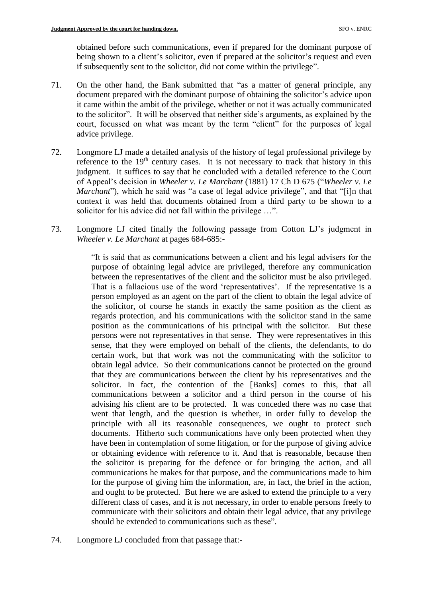obtained before such communications, even if prepared for the dominant purpose of being shown to a client's solicitor, even if prepared at the solicitor's request and even if subsequently sent to the solicitor, did not come within the privilege".

- 71. On the other hand, the Bank submitted that "as a matter of general principle, any document prepared with the dominant purpose of obtaining the solicitor's advice upon it came within the ambit of the privilege, whether or not it was actually communicated to the solicitor". It will be observed that neither side's arguments, as explained by the court, focussed on what was meant by the term "client" for the purposes of legal advice privilege.
- 72. Longmore LJ made a detailed analysis of the history of legal professional privilege by reference to the  $19<sup>th</sup>$  century cases. It is not necessary to track that history in this judgment. It suffices to say that he concluded with a detailed reference to the Court of Appeal's decision in *Wheeler v. Le Marchant* (1881) 17 Ch D 675 ("*Wheeler v. Le Marchant*"), which he said was "a case of legal advice privilege", and that "[i]n that context it was held that documents obtained from a third party to be shown to a solicitor for his advice did not fall within the privilege …".
- 73. Longmore LJ cited finally the following passage from Cotton LJ's judgment in *Wheeler v. Le Marchant* at pages 684-685:-

"It is said that as communications between a client and his legal advisers for the purpose of obtaining legal advice are privileged, therefore any communication between the representatives of the client and the solicitor must be also privileged. That is a fallacious use of the word 'representatives'. If the representative is a person employed as an agent on the part of the client to obtain the legal advice of the solicitor, of course he stands in exactly the same position as the client as regards protection, and his communications with the solicitor stand in the same position as the communications of his principal with the solicitor. But these persons were not representatives in that sense. They were representatives in this sense, that they were employed on behalf of the clients, the defendants, to do certain work, but that work was not the communicating with the solicitor to obtain legal advice. So their communications cannot be protected on the ground that they are communications between the client by his representatives and the solicitor. In fact, the contention of the [Banks] comes to this, that all communications between a solicitor and a third person in the course of his advising his client are to be protected. It was conceded there was no case that went that length, and the question is whether, in order fully to develop the principle with all its reasonable consequences, we ought to protect such documents. Hitherto such communications have only been protected when they have been in contemplation of some litigation, or for the purpose of giving advice or obtaining evidence with reference to it. And that is reasonable, because then the solicitor is preparing for the defence or for bringing the action, and all communications he makes for that purpose, and the communications made to him for the purpose of giving him the information, are, in fact, the brief in the action, and ought to be protected. But here we are asked to extend the principle to a very different class of cases, and it is not necessary, in order to enable persons freely to communicate with their solicitors and obtain their legal advice, that any privilege should be extended to communications such as these".

74. Longmore LJ concluded from that passage that:-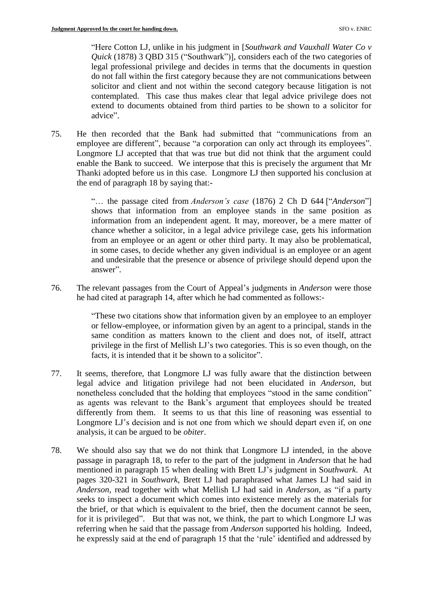"Here Cotton LJ, unlike in his judgment in [*Southwark and Vauxhall Water Co v Quick* (1878) 3 QBD 315 ("Southwark")], considers each of the two categories of legal professional privilege and decides in terms that the documents in question do not fall within the first category because they are not communications between solicitor and client and not within the second category because litigation is not contemplated. This case thus makes clear that legal advice privilege does not extend to documents obtained from third parties to be shown to a solicitor for advice".

75. He then recorded that the Bank had submitted that "communications from an employee are different", because "a corporation can only act through its employees". Longmore LJ accepted that that was true but did not think that the argument could enable the Bank to succeed. We interpose that this is precisely the argument that Mr Thanki adopted before us in this case. Longmore LJ then supported his conclusion at the end of paragraph 18 by saying that:-

> "… the passage cited from *Anderson's case* (1876) 2 Ch D 644 ["*Anderson*"] shows that information from an employee stands in the same position as information from an independent agent. It may, moreover, be a mere matter of chance whether a solicitor, in a legal advice privilege case, gets his information from an employee or an agent or other third party. It may also be problematical, in some cases, to decide whether any given individual is an employee or an agent and undesirable that the presence or absence of privilege should depend upon the answer".

76. The relevant passages from the Court of Appeal's judgments in *Anderson* were those he had cited at paragraph 14, after which he had commented as follows:-

> "These two citations show that information given by an employee to an employer or fellow-employee, or information given by an agent to a principal, stands in the same condition as matters known to the client and does not, of itself, attract privilege in the first of Mellish LJ's two categories. This is so even though, on the facts, it is intended that it be shown to a solicitor".

- 77. It seems, therefore, that Longmore LJ was fully aware that the distinction between legal advice and litigation privilege had not been elucidated in *Anderson*, but nonetheless concluded that the holding that employees "stood in the same condition" as agents was relevant to the Bank's argument that employees should be treated differently from them. It seems to us that this line of reasoning was essential to Longmore LJ's decision and is not one from which we should depart even if, on one analysis, it can be argued to be *obiter*.
- 78. We should also say that we do not think that Longmore LJ intended, in the above passage in paragraph 18, to refer to the part of the judgment in *Anderson* that he had mentioned in paragraph 15 when dealing with Brett LJ's judgment in So*uthwark*. At pages 320-321 in *Southwark*, Brett LJ had paraphrased what James LJ had said in *Anderson*, read together with what Mellish LJ had said in *Anderson*, as "if a party seeks to inspect a document which comes into existence merely as the materials for the brief, or that which is equivalent to the brief, then the document cannot be seen, for it is privileged". But that was not, we think, the part to which Longmore LJ was referring when he said that the passage from *Anderson* supported his holding. Indeed, he expressly said at the end of paragraph 15 that the 'rule' identified and addressed by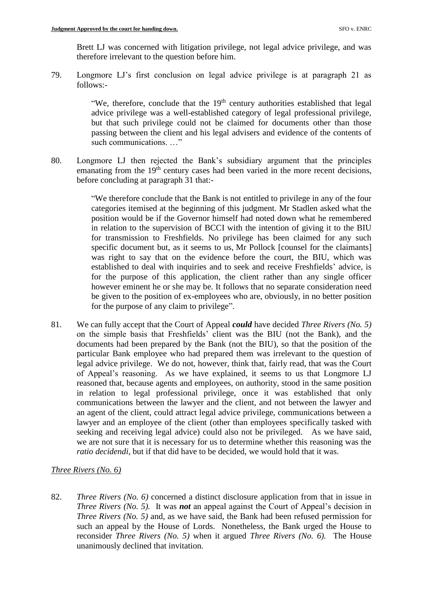Brett LJ was concerned with litigation privilege, not legal advice privilege, and was therefore irrelevant to the question before him.

79. Longmore LJ's first conclusion on legal advice privilege is at paragraph 21 as follows:-

> "We, therefore, conclude that the  $19<sup>th</sup>$  century authorities established that legal advice privilege was a well-established category of legal professional privilege, but that such privilege could not be claimed for documents other than those passing between the client and his legal advisers and evidence of the contents of such communications. …"

80. Longmore LJ then rejected the Bank's subsidiary argument that the principles emanating from the  $19<sup>th</sup>$  century cases had been varied in the more recent decisions, before concluding at paragraph 31 that:-

> "We therefore conclude that the Bank is not entitled to privilege in any of the four categories itemised at the beginning of this judgment. Mr Stadlen asked what the position would be if the Governor himself had noted down what he remembered in relation to the supervision of BCCI with the intention of giving it to the BIU for transmission to Freshfields. No privilege has been claimed for any such specific document but, as it seems to us, Mr Pollock [counsel for the claimants] was right to say that on the evidence before the court, the BIU, which was established to deal with inquiries and to seek and receive Freshfields' advice, is for the purpose of this application, the client rather than any single officer however eminent he or she may be. It follows that no separate consideration need be given to the position of ex-employees who are, obviously, in no better position for the purpose of any claim to privilege".

81. We can fully accept that the Court of Appeal *could* have decided *Three Rivers (No. 5)* on the simple basis that Freshfields' client was the BIU (not the Bank), and the documents had been prepared by the Bank (not the BIU), so that the position of the particular Bank employee who had prepared them was irrelevant to the question of legal advice privilege. We do not, however, think that, fairly read, that was the Court of Appeal's reasoning. As we have explained, it seems to us that Longmore LJ reasoned that, because agents and employees, on authority, stood in the same position in relation to legal professional privilege, once it was established that only communications between the lawyer and the client, and not between the lawyer and an agent of the client, could attract legal advice privilege, communications between a lawyer and an employee of the client (other than employees specifically tasked with seeking and receiving legal advice) could also not be privileged. As we have said, we are not sure that it is necessary for us to determine whether this reasoning was the *ratio decidendi*, but if that did have to be decided, we would hold that it was.

# *Three Rivers (No. 6)*

82. *Three Rivers (No. 6)* concerned a distinct disclosure application from that in issue in *Three Rivers (No. 5).* It was *not* an appeal against the Court of Appeal's decision in *Three Rivers (No. 5)* and, as we have said, the Bank had been refused permission for such an appeal by the House of Lords. Nonetheless, the Bank urged the House to reconsider *Three Rivers (No. 5)* when it argued *Three Rivers (No. 6).* The House unanimously declined that invitation.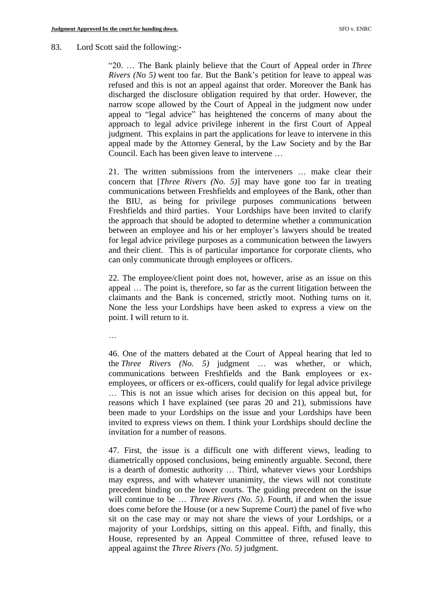#### 83. Lord Scott said the following:-

"20. … The Bank plainly believe that the Court of Appeal order in *Three Rivers (No 5)* went too far. But the Bank's petition for leave to appeal was refused and this is not an appeal against that order. Moreover the Bank has discharged the disclosure obligation required by that order. However, the narrow scope allowed by the Court of Appeal in the judgment now under appeal to "legal advice" has heightened the concerns of many about the approach to legal advice privilege inherent in the first Court of Appeal judgment. This explains in part the applications for leave to intervene in this appeal made by the Attorney General, by the Law Society and by the Bar Council. Each has been given leave to intervene …

21. The written submissions from the interveners … make clear their concern that [*Three Rivers (No. 5)*] may have gone too far in treating communications between Freshfields and employees of the Bank, other than the BIU, as being for privilege purposes communications between Freshfields and third parties. Your Lordships have been invited to clarify the approach that should be adopted to determine whether a communication between an employee and his or her employer's lawyers should be treated for legal advice privilege purposes as a communication between the lawyers and their client. This is of particular importance for corporate clients, who can only communicate through employees or officers.

22. The employee/client point does not, however, arise as an issue on this appeal … The point is, therefore, so far as the current litigation between the claimants and the Bank is concerned, strictly moot. Nothing turns on it. None the less your Lordships have been asked to express a view on the point. I will return to it.

…

46. One of the matters debated at the Court of Appeal hearing that led to the *Three Rivers (No. 5)* judgment … was whether, or which, communications between Freshfields and the Bank employees or exemployees, or officers or ex-officers, could qualify for legal advice privilege … This is not an issue which arises for decision on this appeal but, for reasons which I have explained (see paras 20 and 21), submissions have been made to your Lordships on the issue and your Lordships have been invited to express views on them. I think your Lordships should decline the invitation for a number of reasons.

47. First, the issue is a difficult one with different views, leading to diametrically opposed conclusions, being eminently arguable. Second, there is a dearth of domestic authority … Third, whatever views your Lordships may express, and with whatever unanimity, the views will not constitute precedent binding on the lower courts. The guiding precedent on the issue will continue to be … *Three Rivers (No. 5)*. Fourth, if and when the issue does come before the House (or a new Supreme Court) the panel of five who sit on the case may or may not share the views of your Lordships, or a majority of your Lordships, sitting on this appeal. Fifth, and finally, this House, represented by an Appeal Committee of three, refused leave to appeal against the *Three Rivers (No. 5)* judgment.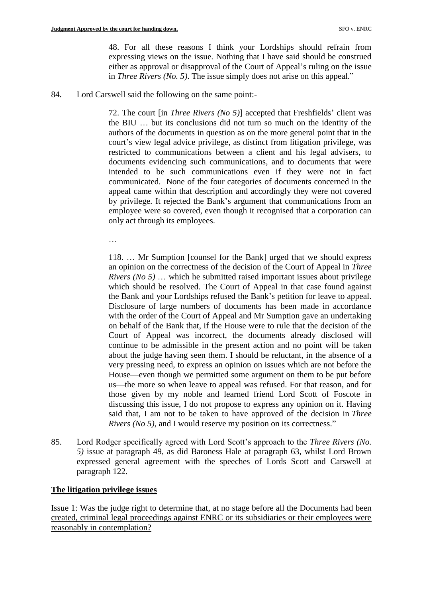48. For all these reasons I think your Lordships should refrain from expressing views on the issue. Nothing that I have said should be construed either as approval or disapproval of the Court of Appeal's ruling on the issue in *Three Rivers (No. 5)*. The issue simply does not arise on this appeal."

84. Lord Carswell said the following on the same point:-

72. The court [in *Three Rivers (No 5)*] accepted that Freshfields' client was the BIU … but its conclusions did not turn so much on the identity of the authors of the documents in question as on the more general point that in the court's view legal advice privilege, as distinct from litigation privilege, was restricted to communications between a client and his legal advisers, to documents evidencing such communications, and to documents that were intended to be such communications even if they were not in fact communicated. None of the four categories of documents concerned in the appeal came within that description and accordingly they were not covered by privilege. It rejected the Bank's argument that communications from an employee were so covered, even though it recognised that a corporation can only act through its employees.

…

118. … Mr Sumption [counsel for the Bank] urged that we should express an opinion on the correctness of the decision of the Court of Appeal in *Three Rivers (No 5)* … which he submitted raised important issues about privilege which should be resolved. The Court of Appeal in that case found against the Bank and your Lordships refused the Bank's petition for leave to appeal. Disclosure of large numbers of documents has been made in accordance with the order of the Court of Appeal and Mr Sumption gave an undertaking on behalf of the Bank that, if the House were to rule that the decision of the Court of Appeal was incorrect, the documents already disclosed will continue to be admissible in the present action and no point will be taken about the judge having seen them. I should be reluctant, in the absence of a very pressing need, to express an opinion on issues which are not before the House—even though we permitted some argument on them to be put before us—the more so when leave to appeal was refused. For that reason, and for those given by my noble and learned friend Lord Scott of Foscote in discussing this issue, I do not propose to express any opinion on it. Having said that, I am not to be taken to have approved of the decision in *Three Rivers (No 5)*, and I would reserve my position on its correctness."

85. Lord Rodger specifically agreed with Lord Scott's approach to the *Three Rivers (No. 5)* issue at paragraph 49, as did Baroness Hale at paragraph 63, whilst Lord Brown expressed general agreement with the speeches of Lords Scott and Carswell at paragraph 122.

## **The litigation privilege issues**

Issue 1: Was the judge right to determine that, at no stage before all the Documents had been created, criminal legal proceedings against ENRC or its subsidiaries or their employees were reasonably in contemplation?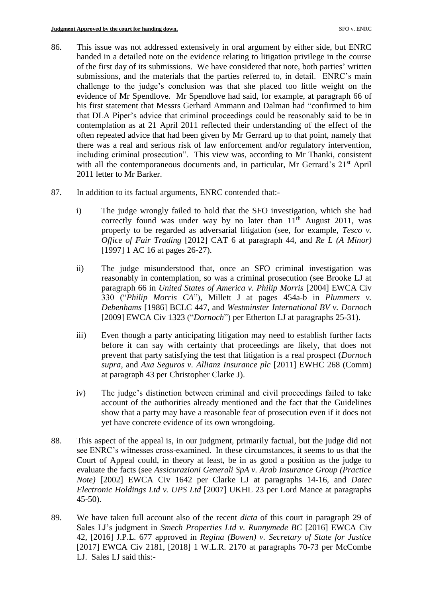- 86. This issue was not addressed extensively in oral argument by either side, but ENRC handed in a detailed note on the evidence relating to litigation privilege in the course of the first day of its submissions. We have considered that note, both parties' written submissions, and the materials that the parties referred to, in detail. ENRC's main challenge to the judge's conclusion was that she placed too little weight on the evidence of Mr Spendlove. Mr Spendlove had said, for example, at paragraph 66 of his first statement that Messrs Gerhard Ammann and Dalman had "confirmed to him that DLA Piper's advice that criminal proceedings could be reasonably said to be in contemplation as at 21 April 2011 reflected their understanding of the effect of the often repeated advice that had been given by Mr Gerrard up to that point, namely that there was a real and serious risk of law enforcement and/or regulatory intervention, including criminal prosecution". This view was, according to Mr Thanki, consistent with all the contemporaneous documents and, in particular, Mr Gerrard's 21<sup>st</sup> April 2011 letter to Mr Barker.
- 87. In addition to its factual arguments, ENRC contended that:
	- i) The judge wrongly failed to hold that the SFO investigation, which she had correctly found was under way by no later than  $11<sup>th</sup>$  August 2011, was properly to be regarded as adversarial litigation (see, for example, *Tesco v. Office of Fair Trading* [2012] CAT 6 at paragraph 44, and *Re L (A Minor)* [1997] 1 AC 16 at pages 26-27).
	- ii) The judge misunderstood that, once an SFO criminal investigation was reasonably in contemplation, so was a criminal prosecution (see Brooke LJ at paragraph 66 in *United States of America v. Philip Morris* [2004] EWCA Civ 330 ("*Philip Morris CA*"), Millett J at pages 454a-b in *Plummers v. Debenhams* [1986] BCLC 447, and *Westminster International BV v. Dornoch* [2009] EWCA Civ 1323 ("*Dornoch*") per Etherton LJ at paragraphs 25-31).
	- iii) Even though a party anticipating litigation may need to establish further facts before it can say with certainty that proceedings are likely, that does not prevent that party satisfying the test that litigation is a real prospect (*Dornoch supra*, and *Axa Seguros v. Allianz Insurance plc* [2011] EWHC 268 (Comm) at paragraph 43 per Christopher Clarke J).
	- iv) The judge's distinction between criminal and civil proceedings failed to take account of the authorities already mentioned and the fact that the Guidelines show that a party may have a reasonable fear of prosecution even if it does not yet have concrete evidence of its own wrongdoing.
- 88. This aspect of the appeal is, in our judgment, primarily factual, but the judge did not see ENRC's witnesses cross-examined. In these circumstances, it seems to us that the Court of Appeal could, in theory at least, be in as good a position as the judge to evaluate the facts (see *Assicurazioni Generali SpA v. Arab Insurance Group (Practice Note)* [2002] EWCA Civ 1642 per Clarke LJ at paragraphs 14-16, and *Datec Electronic Holdings Ltd v. UPS Ltd* [2007] UKHL 23 per Lord Mance at paragraphs 45-50).
- 89. We have taken full account also of the recent *dicta* of this court in paragraph 29 of Sales LJ's judgment in *Smech Properties Ltd v. Runnymede BC* [2016] EWCA Civ 42, [2016] J.P.L. 677 approved in *Regina (Bowen) v. Secretary of State for Justice* [2017] EWCA Civ 2181, [2018] 1 W.L.R. 2170 at paragraphs 70-73 per McCombe LJ. Sales LJ said this:-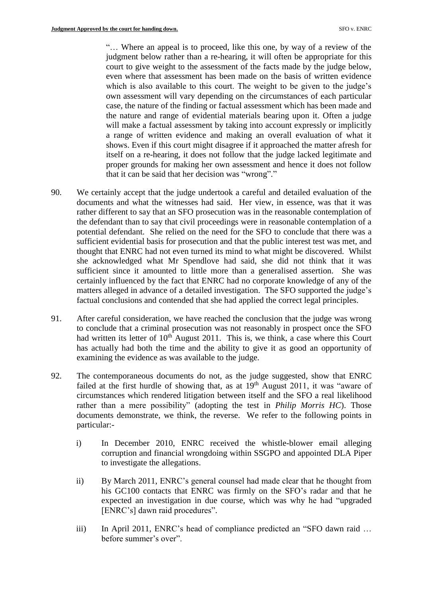"… Where an appeal is to proceed, like this one, by way of a review of the judgment below rather than a re-hearing, it will often be appropriate for this court to give weight to the assessment of the facts made by the judge below, even where that assessment has been made on the basis of written evidence which is also available to this court. The weight to be given to the judge's own assessment will vary depending on the circumstances of each particular case, the nature of the finding or factual assessment which has been made and the nature and range of evidential materials bearing upon it. Often a judge will make a factual assessment by taking into account expressly or implicitly a range of written evidence and making an overall evaluation of what it shows. Even if this court might disagree if it approached the matter afresh for itself on a re-hearing, it does not follow that the judge lacked legitimate and proper grounds for making her own assessment and hence it does not follow that it can be said that her decision was "wrong"."

- 90. We certainly accept that the judge undertook a careful and detailed evaluation of the documents and what the witnesses had said. Her view, in essence, was that it was rather different to say that an SFO prosecution was in the reasonable contemplation of the defendant than to say that civil proceedings were in reasonable contemplation of a potential defendant. She relied on the need for the SFO to conclude that there was a sufficient evidential basis for prosecution and that the public interest test was met, and thought that ENRC had not even turned its mind to what might be discovered. Whilst she acknowledged what Mr Spendlove had said, she did not think that it was sufficient since it amounted to little more than a generalised assertion. She was certainly influenced by the fact that ENRC had no corporate knowledge of any of the matters alleged in advance of a detailed investigation. The SFO supported the judge's factual conclusions and contended that she had applied the correct legal principles.
- 91. After careful consideration, we have reached the conclusion that the judge was wrong to conclude that a criminal prosecution was not reasonably in prospect once the SFO had written its letter of  $10<sup>th</sup>$  August 2011. This is, we think, a case where this Court has actually had both the time and the ability to give it as good an opportunity of examining the evidence as was available to the judge.
- 92. The contemporaneous documents do not, as the judge suggested, show that ENRC failed at the first hurdle of showing that, as at  $19<sup>th</sup>$  August 2011, it was "aware of circumstances which rendered litigation between itself and the SFO a real likelihood rather than a mere possibility" (adopting the test in *Philip Morris HC*). Those documents demonstrate, we think, the reverse. We refer to the following points in particular:
	- i) In December 2010, ENRC received the whistle-blower email alleging corruption and financial wrongdoing within SSGPO and appointed DLA Piper to investigate the allegations.
	- ii) By March 2011, ENRC's general counsel had made clear that he thought from his GC100 contacts that ENRC was firmly on the SFO's radar and that he expected an investigation in due course, which was why he had "upgraded [ENRC's] dawn raid procedures".
	- iii) In April 2011, ENRC's head of compliance predicted an "SFO dawn raid ... before summer's over".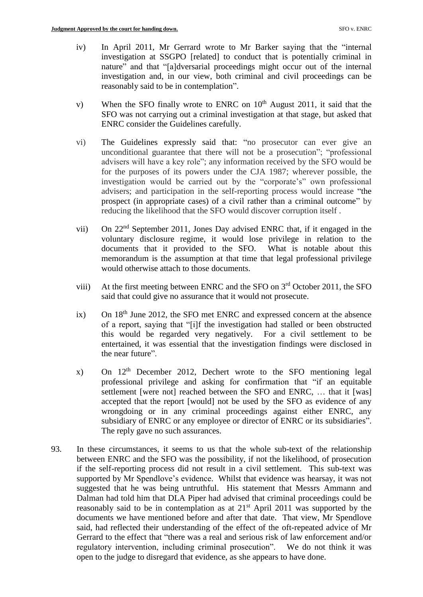- iv) In April 2011, Mr Gerrard wrote to Mr Barker saying that the "internal investigation at SSGPO [related] to conduct that is potentially criminal in nature" and that "[a]dversarial proceedings might occur out of the internal investigation and, in our view, both criminal and civil proceedings can be reasonably said to be in contemplation".
- v) When the SFO finally wrote to ENRC on  $10<sup>th</sup>$  August 2011, it said that the SFO was not carrying out a criminal investigation at that stage, but asked that ENRC consider the Guidelines carefully.
- vi) The Guidelines expressly said that: "no prosecutor can ever give an unconditional guarantee that there will not be a prosecution"; "professional advisers will have a key role"; any information received by the SFO would be for the purposes of its powers under the CJA 1987; wherever possible, the investigation would be carried out by the "corporate's" own professional advisers; and participation in the self-reporting process would increase "the prospect (in appropriate cases) of a civil rather than a criminal outcome" by reducing the likelihood that the SFO would discover corruption itself .
- vii) On 22nd September 2011, Jones Day advised ENRC that, if it engaged in the voluntary disclosure regime, it would lose privilege in relation to the documents that it provided to the SFO. What is notable about this memorandum is the assumption at that time that legal professional privilege would otherwise attach to those documents.
- viii) At the first meeting between ENRC and the SFO on  $3<sup>rd</sup>$  October 2011, the SFO said that could give no assurance that it would not prosecute.
- $ix$ ) On  $18<sup>th</sup>$  June 2012, the SFO met ENRC and expressed concern at the absence of a report, saying that "[i]f the investigation had stalled or been obstructed this would be regarded very negatively. For a civil settlement to be entertained, it was essential that the investigation findings were disclosed in the near future".
- x) On  $12<sup>th</sup>$  December 2012, Dechert wrote to the SFO mentioning legal professional privilege and asking for confirmation that "if an equitable settlement [were not] reached between the SFO and ENRC, ... that it [was] accepted that the report [would] not be used by the SFO as evidence of any wrongdoing or in any criminal proceedings against either ENRC, any subsidiary of ENRC or any employee or director of ENRC or its subsidiaries". The reply gave no such assurances.
- 93. In these circumstances, it seems to us that the whole sub-text of the relationship between ENRC and the SFO was the possibility, if not the likelihood, of prosecution if the self-reporting process did not result in a civil settlement. This sub-text was supported by Mr Spendlove's evidence. Whilst that evidence was hearsay, it was not suggested that he was being untruthful. His statement that Messrs Ammann and Dalman had told him that DLA Piper had advised that criminal proceedings could be reasonably said to be in contemplation as at  $21<sup>st</sup>$  April 2011 was supported by the documents we have mentioned before and after that date. That view, Mr Spendlove said, had reflected their understanding of the effect of the oft-repeated advice of Mr Gerrard to the effect that "there was a real and serious risk of law enforcement and/or regulatory intervention, including criminal prosecution". We do not think it was open to the judge to disregard that evidence, as she appears to have done.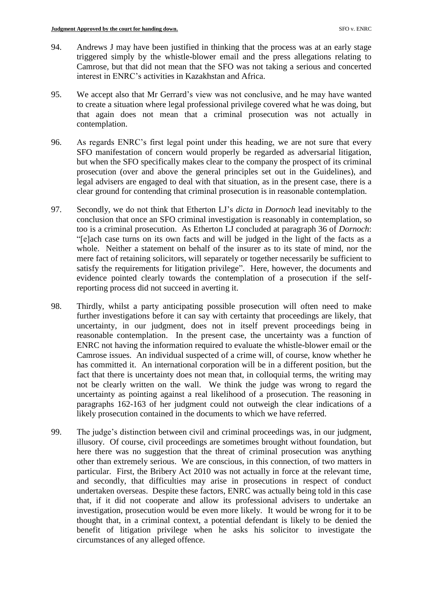- 94. Andrews J may have been justified in thinking that the process was at an early stage triggered simply by the whistle-blower email and the press allegations relating to Camrose, but that did not mean that the SFO was not taking a serious and concerted interest in ENRC's activities in Kazakhstan and Africa.
- 95. We accept also that Mr Gerrard's view was not conclusive, and he may have wanted to create a situation where legal professional privilege covered what he was doing, but that again does not mean that a criminal prosecution was not actually in contemplation.
- 96. As regards ENRC's first legal point under this heading, we are not sure that every SFO manifestation of concern would properly be regarded as adversarial litigation, but when the SFO specifically makes clear to the company the prospect of its criminal prosecution (over and above the general principles set out in the Guidelines), and legal advisers are engaged to deal with that situation, as in the present case, there is a clear ground for contending that criminal prosecution is in reasonable contemplation.
- 97. Secondly, we do not think that Etherton LJ's *dicta* in *Dornoch* lead inevitably to the conclusion that once an SFO criminal investigation is reasonably in contemplation, so too is a criminal prosecution. As Etherton LJ concluded at paragraph 36 of *Dornoch*: "[e]ach case turns on its own facts and will be judged in the light of the facts as a whole. Neither a statement on behalf of the insurer as to its state of mind, nor the mere fact of retaining solicitors, will separately or together necessarily be sufficient to satisfy the requirements for litigation privilege". Here, however, the documents and evidence pointed clearly towards the contemplation of a prosecution if the selfreporting process did not succeed in averting it.
- 98. Thirdly, whilst a party anticipating possible prosecution will often need to make further investigations before it can say with certainty that proceedings are likely, that uncertainty, in our judgment, does not in itself prevent proceedings being in reasonable contemplation. In the present case, the uncertainty was a function of ENRC not having the information required to evaluate the whistle-blower email or the Camrose issues. An individual suspected of a crime will, of course, know whether he has committed it. An international corporation will be in a different position, but the fact that there is uncertainty does not mean that, in colloquial terms, the writing may not be clearly written on the wall. We think the judge was wrong to regard the uncertainty as pointing against a real likelihood of a prosecution. The reasoning in paragraphs 162-163 of her judgment could not outweigh the clear indications of a likely prosecution contained in the documents to which we have referred.
- 99. The judge's distinction between civil and criminal proceedings was, in our judgment, illusory. Of course, civil proceedings are sometimes brought without foundation, but here there was no suggestion that the threat of criminal prosecution was anything other than extremely serious. We are conscious, in this connection, of two matters in particular. First, the Bribery Act 2010 was not actually in force at the relevant time, and secondly, that difficulties may arise in prosecutions in respect of conduct undertaken overseas. Despite these factors, ENRC was actually being told in this case that, if it did not cooperate and allow its professional advisers to undertake an investigation, prosecution would be even more likely. It would be wrong for it to be thought that, in a criminal context, a potential defendant is likely to be denied the benefit of litigation privilege when he asks his solicitor to investigate the circumstances of any alleged offence.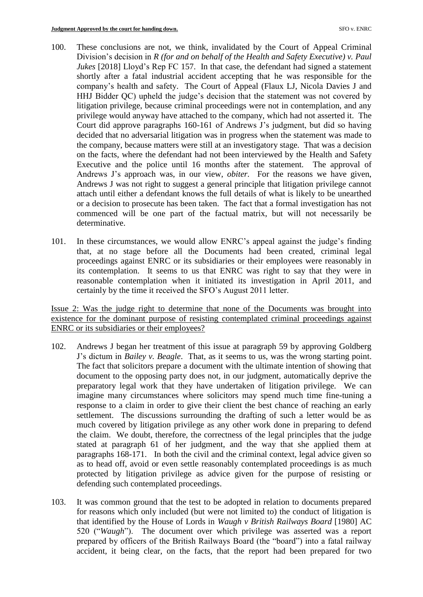- 100. These conclusions are not, we think, invalidated by the Court of Appeal Criminal Division's decision in *R (for and on behalf of the Health and Safety Executive) v. Paul Jukes* [2018] Lloyd's Rep FC 157. In that case, the defendant had signed a statement shortly after a fatal industrial accident accepting that he was responsible for the company's health and safety. The Court of Appeal (Flaux LJ, Nicola Davies J and HHJ Bidder QC) upheld the judge's decision that the statement was not covered by litigation privilege, because criminal proceedings were not in contemplation, and any privilege would anyway have attached to the company, which had not asserted it. The Court did approve paragraphs 160-161 of Andrews J's judgment, but did so having decided that no adversarial litigation was in progress when the statement was made to the company, because matters were still at an investigatory stage. That was a decision on the facts, where the defendant had not been interviewed by the Health and Safety Executive and the police until 16 months after the statement. The approval of Andrews J's approach was, in our view, *obiter.* For the reasons we have given, Andrews J was not right to suggest a general principle that litigation privilege cannot attach until either a defendant knows the full details of what is likely to be unearthed or a decision to prosecute has been taken. The fact that a formal investigation has not commenced will be one part of the factual matrix, but will not necessarily be determinative.
- 101. In these circumstances, we would allow ENRC's appeal against the judge's finding that, at no stage before all the Documents had been created, criminal legal proceedings against ENRC or its subsidiaries or their employees were reasonably in its contemplation. It seems to us that ENRC was right to say that they were in reasonable contemplation when it initiated its investigation in April 2011, and certainly by the time it received the SFO's August 2011 letter.

Issue 2: Was the judge right to determine that none of the Documents was brought into existence for the dominant purpose of resisting contemplated criminal proceedings against ENRC or its subsidiaries or their employees?

- 102. Andrews J began her treatment of this issue at paragraph 59 by approving Goldberg J's dictum in *Bailey v. Beagle*. That, as it seems to us, was the wrong starting point. The fact that solicitors prepare a document with the ultimate intention of showing that document to the opposing party does not, in our judgment, automatically deprive the preparatory legal work that they have undertaken of litigation privilege. We can imagine many circumstances where solicitors may spend much time fine-tuning a response to a claim in order to give their client the best chance of reaching an early settlement. The discussions surrounding the drafting of such a letter would be as much covered by litigation privilege as any other work done in preparing to defend the claim. We doubt, therefore, the correctness of the legal principles that the judge stated at paragraph 61 of her judgment, and the way that she applied them at paragraphs 168-171. In both the civil and the criminal context, legal advice given so as to head off, avoid or even settle reasonably contemplated proceedings is as much protected by litigation privilege as advice given for the purpose of resisting or defending such contemplated proceedings.
- 103. It was common ground that the test to be adopted in relation to documents prepared for reasons which only included (but were not limited to) the conduct of litigation is that identified by the House of Lords in *Waugh v British Railways Board* [1980] AC 520 ("*Waugh*"). The document over which privilege was asserted was a report prepared by officers of the British Railways Board (the "board") into a fatal railway accident, it being clear, on the facts, that the report had been prepared for two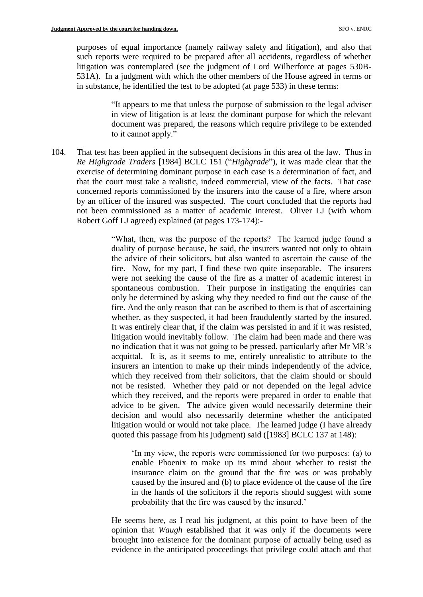purposes of equal importance (namely railway safety and litigation), and also that such reports were required to be prepared after all accidents, regardless of whether litigation was contemplated (see the judgment of Lord Wilberforce at pages 530B-531A). In a judgment with which the other members of the House agreed in terms or in substance, he identified the test to be adopted (at page 533) in these terms:

> "It appears to me that unless the purpose of submission to the legal adviser in view of litigation is at least the dominant purpose for which the relevant document was prepared, the reasons which require privilege to be extended to it cannot apply."

104. That test has been applied in the subsequent decisions in this area of the law. Thus in *Re Highgrade Traders* [1984] BCLC 151 ("*Highgrade*"), it was made clear that the exercise of determining dominant purpose in each case is a determination of fact, and that the court must take a realistic, indeed commercial, view of the facts. That case concerned reports commissioned by the insurers into the cause of a fire, where arson by an officer of the insured was suspected. The court concluded that the reports had not been commissioned as a matter of academic interest. Oliver LJ (with whom Robert Goff LJ agreed) explained (at pages 173-174):-

> "What, then, was the purpose of the reports? The learned judge found a duality of purpose because, he said, the insurers wanted not only to obtain the advice of their solicitors, but also wanted to ascertain the cause of the fire. Now, for my part, I find these two quite inseparable. The insurers were not seeking the cause of the fire as a matter of academic interest in spontaneous combustion. Their purpose in instigating the enquiries can only be determined by asking why they needed to find out the cause of the fire. And the only reason that can be ascribed to them is that of ascertaining whether, as they suspected, it had been fraudulently started by the insured. It was entirely clear that, if the claim was persisted in and if it was resisted, litigation would inevitably follow. The claim had been made and there was no indication that it was not going to be pressed, particularly after Mr MR's acquittal. It is, as it seems to me, entirely unrealistic to attribute to the insurers an intention to make up their minds independently of the advice, which they received from their solicitors, that the claim should or should not be resisted. Whether they paid or not depended on the legal advice which they received, and the reports were prepared in order to enable that advice to be given. The advice given would necessarily determine their decision and would also necessarily determine whether the anticipated litigation would or would not take place. The learned judge (I have already quoted this passage from his judgment) said ([1983] BCLC 137 at 148):

'In my view, the reports were commissioned for two purposes: (a) to enable Phoenix to make up its mind about whether to resist the insurance claim on the ground that the fire was or was probably caused by the insured and (b) to place evidence of the cause of the fire in the hands of the solicitors if the reports should suggest with some probability that the fire was caused by the insured.'

He seems here, as I read his judgment, at this point to have been of the opinion that *Waugh* established that it was only if the documents were brought into existence for the dominant purpose of actually being used as evidence in the anticipated proceedings that privilege could attach and that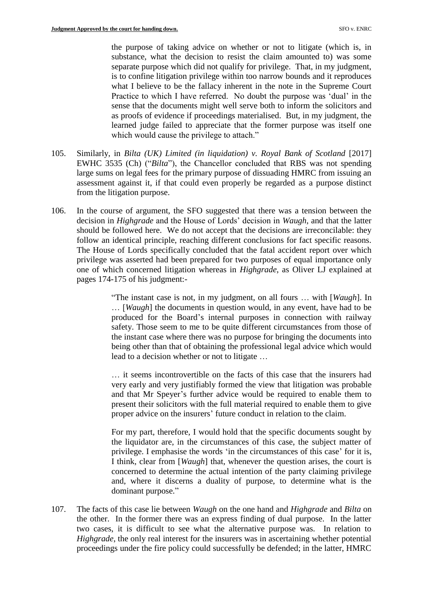the purpose of taking advice on whether or not to litigate (which is, in substance, what the decision to resist the claim amounted to) was some separate purpose which did not qualify for privilege. That, in my judgment, is to confine litigation privilege within too narrow bounds and it reproduces what I believe to be the fallacy inherent in the note in the Supreme Court Practice to which I have referred. No doubt the purpose was 'dual' in the sense that the documents might well serve both to inform the solicitors and as proofs of evidence if proceedings materialised. But, in my judgment, the learned judge failed to appreciate that the former purpose was itself one which would cause the privilege to attach."

- 105. Similarly, in *Bilta (UK) Limited (in liquidation) v. Royal Bank of Scotland* [2017] EWHC 3535 (Ch) ("*Bilta*"), the Chancellor concluded that RBS was not spending large sums on legal fees for the primary purpose of dissuading HMRC from issuing an assessment against it, if that could even properly be regarded as a purpose distinct from the litigation purpose.
- 106. In the course of argument, the SFO suggested that there was a tension between the decision in *Highgrade* and the House of Lords' decision in *Waugh*, and that the latter should be followed here. We do not accept that the decisions are irreconcilable: they follow an identical principle, reaching different conclusions for fact specific reasons. The House of Lords specifically concluded that the fatal accident report over which privilege was asserted had been prepared for two purposes of equal importance only one of which concerned litigation whereas in *Highgrade*, as Oliver LJ explained at pages 174-175 of his judgment:-

"The instant case is not, in my judgment, on all fours … with [*Waugh*]. In … [*Waugh*] the documents in question would, in any event, have had to be produced for the Board's internal purposes in connection with railway safety. Those seem to me to be quite different circumstances from those of the instant case where there was no purpose for bringing the documents into being other than that of obtaining the professional legal advice which would lead to a decision whether or not to litigate …

… it seems incontrovertible on the facts of this case that the insurers had very early and very justifiably formed the view that litigation was probable and that Mr Speyer's further advice would be required to enable them to present their solicitors with the full material required to enable them to give proper advice on the insurers' future conduct in relation to the claim.

For my part, therefore, I would hold that the specific documents sought by the liquidator are, in the circumstances of this case, the subject matter of privilege. I emphasise the words 'in the circumstances of this case' for it is, I think, clear from [*Waugh*] that, whenever the question arises, the court is concerned to determine the actual intention of the party claiming privilege and, where it discerns a duality of purpose, to determine what is the dominant purpose."

107. The facts of this case lie between *Waugh* on the one hand and *Highgrade* and *Bilta* on the other. In the former there was an express finding of dual purpose. In the latter two cases, it is difficult to see what the alternative purpose was. In relation to *Highgrade*, the only real interest for the insurers was in ascertaining whether potential proceedings under the fire policy could successfully be defended; in the latter, HMRC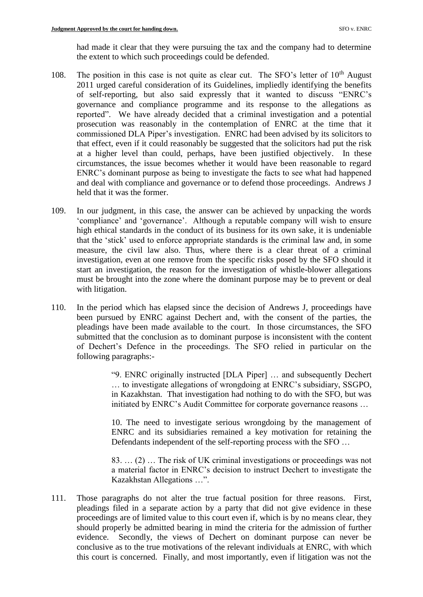had made it clear that they were pursuing the tax and the company had to determine the extent to which such proceedings could be defended.

- 108. The position in this case is not quite as clear cut. The SFO's letter of  $10<sup>th</sup>$  August 2011 urged careful consideration of its Guidelines, impliedly identifying the benefits of self-reporting, but also said expressly that it wanted to discuss "ENRC's governance and compliance programme and its response to the allegations as reported". We have already decided that a criminal investigation and a potential prosecution was reasonably in the contemplation of ENRC at the time that it commissioned DLA Piper's investigation. ENRC had been advised by its solicitors to that effect, even if it could reasonably be suggested that the solicitors had put the risk at a higher level than could, perhaps, have been justified objectively. In these circumstances, the issue becomes whether it would have been reasonable to regard ENRC's dominant purpose as being to investigate the facts to see what had happened and deal with compliance and governance or to defend those proceedings. Andrews J held that it was the former.
- 109. In our judgment, in this case, the answer can be achieved by unpacking the words 'compliance' and 'governance'. Although a reputable company will wish to ensure high ethical standards in the conduct of its business for its own sake, it is undeniable that the 'stick' used to enforce appropriate standards is the criminal law and, in some measure, the civil law also. Thus, where there is a clear threat of a criminal investigation, even at one remove from the specific risks posed by the SFO should it start an investigation, the reason for the investigation of whistle-blower allegations must be brought into the zone where the dominant purpose may be to prevent or deal with litigation.
- 110. In the period which has elapsed since the decision of Andrews J, proceedings have been pursued by ENRC against Dechert and, with the consent of the parties, the pleadings have been made available to the court. In those circumstances, the SFO submitted that the conclusion as to dominant purpose is inconsistent with the content of Dechert's Defence in the proceedings. The SFO relied in particular on the following paragraphs:-

"9. ENRC originally instructed [DLA Piper] … and subsequently Dechert … to investigate allegations of wrongdoing at ENRC's subsidiary, SSGPO, in Kazakhstan. That investigation had nothing to do with the SFO, but was initiated by ENRC's Audit Committee for corporate governance reasons …

10. The need to investigate serious wrongdoing by the management of ENRC and its subsidiaries remained a key motivation for retaining the Defendants independent of the self-reporting process with the SFO …

83. … (2) … The risk of UK criminal investigations or proceedings was not a material factor in ENRC's decision to instruct Dechert to investigate the Kazakhstan Allegations …".

111. Those paragraphs do not alter the true factual position for three reasons. First, pleadings filed in a separate action by a party that did not give evidence in these proceedings are of limited value to this court even if, which is by no means clear, they should properly be admitted bearing in mind the criteria for the admission of further evidence. Secondly, the views of Dechert on dominant purpose can never be conclusive as to the true motivations of the relevant individuals at ENRC, with which this court is concerned. Finally, and most importantly, even if litigation was not the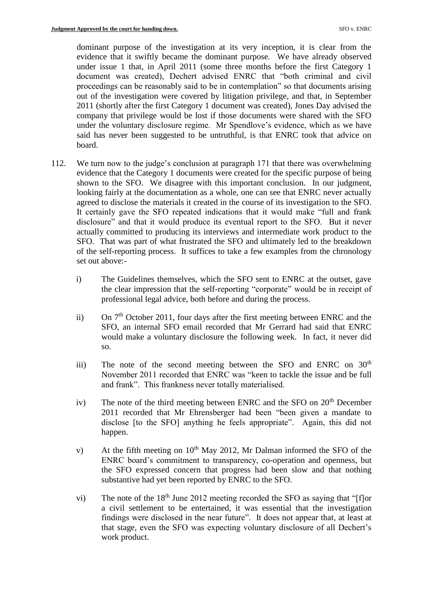dominant purpose of the investigation at its very inception, it is clear from the evidence that it swiftly became the dominant purpose. We have already observed under issue 1 that, in April 2011 (some three months before the first Category 1 document was created), Dechert advised ENRC that "both criminal and civil proceedings can be reasonably said to be in contemplation" so that documents arising out of the investigation were covered by litigation privilege, and that, in September 2011 (shortly after the first Category 1 document was created), Jones Day advised the company that privilege would be lost if those documents were shared with the SFO under the voluntary disclosure regime. Mr Spendlove's evidence, which as we have said has never been suggested to be untruthful, is that ENRC took that advice on board.

- 112. We turn now to the judge's conclusion at paragraph 171 that there was overwhelming evidence that the Category 1 documents were created for the specific purpose of being shown to the SFO. We disagree with this important conclusion. In our judgment, looking fairly at the documentation as a whole, one can see that ENRC never actually agreed to disclose the materials it created in the course of its investigation to the SFO. It certainly gave the SFO repeated indications that it would make "full and frank disclosure" and that it would produce its eventual report to the SFO. But it never actually committed to producing its interviews and intermediate work product to the SFO. That was part of what frustrated the SFO and ultimately led to the breakdown of the self-reporting process. It suffices to take a few examples from the chronology set out above:
	- i) The Guidelines themselves, which the SFO sent to ENRC at the outset, gave the clear impression that the self-reporting "corporate" would be in receipt of professional legal advice, both before and during the process.
	- ii) On  $7<sup>th</sup>$  October 2011, four days after the first meeting between ENRC and the SFO, an internal SFO email recorded that Mr Gerrard had said that ENRC would make a voluntary disclosure the following week. In fact, it never did so.
	- iii) The note of the second meeting between the SFO and ENRC on  $30<sup>th</sup>$ November 2011 recorded that ENRC was "keen to tackle the issue and be full and frank". This frankness never totally materialised.
	- iv) The note of the third meeting between ENRC and the SFO on  $20<sup>th</sup>$  December 2011 recorded that Mr Ehrensberger had been "been given a mandate to disclose [to the SFO] anything he feels appropriate". Again, this did not happen.
	- v) At the fifth meeting on  $10<sup>th</sup>$  May 2012, Mr Dalman informed the SFO of the ENRC board's commitment to transparency, co-operation and openness, but the SFO expressed concern that progress had been slow and that nothing substantive had yet been reported by ENRC to the SFO.
	- vi) The note of the  $18<sup>th</sup>$  June 2012 meeting recorded the SFO as saying that "[f]or a civil settlement to be entertained, it was essential that the investigation findings were disclosed in the near future". It does not appear that, at least at that stage, even the SFO was expecting voluntary disclosure of all Dechert's work product.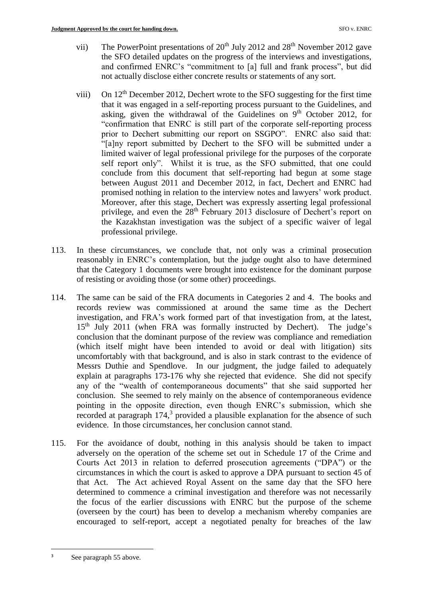- vii) The PowerPoint presentations of  $20^{th}$  July 2012 and  $28^{th}$  November 2012 gave the SFO detailed updates on the progress of the interviews and investigations, and confirmed ENRC's "commitment to [a] full and frank process", but did not actually disclose either concrete results or statements of any sort.
- viii) On  $12<sup>th</sup>$  December 2012, Dechert wrote to the SFO suggesting for the first time that it was engaged in a self-reporting process pursuant to the Guidelines, and asking, given the withdrawal of the Guidelines on  $9<sup>th</sup>$  October 2012, for "confirmation that ENRC is still part of the corporate self-reporting process prior to Dechert submitting our report on SSGPO". ENRC also said that: "[a]ny report submitted by Dechert to the SFO will be submitted under a limited waiver of legal professional privilege for the purposes of the corporate self report only". Whilst it is true, as the SFO submitted, that one could conclude from this document that self-reporting had begun at some stage between August 2011 and December 2012, in fact, Dechert and ENRC had promised nothing in relation to the interview notes and lawyers' work product. Moreover, after this stage, Dechert was expressly asserting legal professional privilege, and even the 28<sup>th</sup> February 2013 disclosure of Dechert's report on the Kazakhstan investigation was the subject of a specific waiver of legal professional privilege.
- 113. In these circumstances, we conclude that, not only was a criminal prosecution reasonably in ENRC's contemplation, but the judge ought also to have determined that the Category 1 documents were brought into existence for the dominant purpose of resisting or avoiding those (or some other) proceedings.
- 114. The same can be said of the FRA documents in Categories 2 and 4. The books and records review was commissioned at around the same time as the Dechert investigation, and FRA's work formed part of that investigation from, at the latest, 15<sup>th</sup> July 2011 (when FRA was formally instructed by Dechert). The judge's conclusion that the dominant purpose of the review was compliance and remediation (which itself might have been intended to avoid or deal with litigation) sits uncomfortably with that background, and is also in stark contrast to the evidence of Messrs Duthie and Spendlove. In our judgment, the judge failed to adequately explain at paragraphs 173-176 why she rejected that evidence. She did not specify any of the "wealth of contemporaneous documents" that she said supported her conclusion. She seemed to rely mainly on the absence of contemporaneous evidence pointing in the opposite direction, even though ENRC's submission, which she recorded at paragraph  $174<sup>3</sup>$  provided a plausible explanation for the absence of such evidence. In those circumstances, her conclusion cannot stand.
- 115. For the avoidance of doubt, nothing in this analysis should be taken to impact adversely on the operation of the scheme set out in Schedule 17 of the Crime and Courts Act 2013 in relation to deferred prosecution agreements ("DPA") or the circumstances in which the court is asked to approve a DPA pursuant to section 45 of that Act. The Act achieved Royal Assent on the same day that the SFO here determined to commence a criminal investigation and therefore was not necessarily the focus of the earlier discussions with ENRC but the purpose of the scheme (overseen by the court) has been to develop a mechanism whereby companies are encouraged to self-report, accept a negotiated penalty for breaches of the law

<u>.</u>

<sup>&</sup>lt;sup>3</sup> See paragraph 55 above.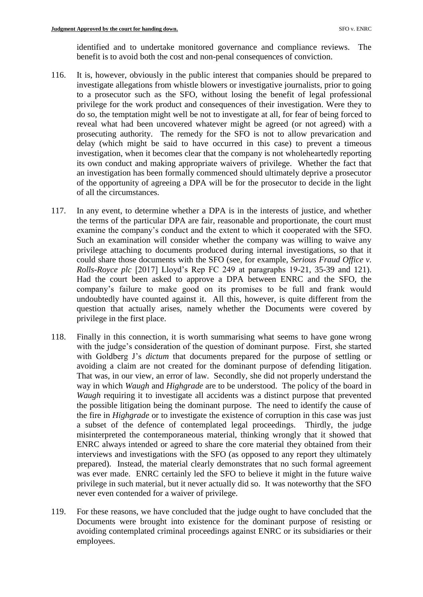identified and to undertake monitored governance and compliance reviews. The benefit is to avoid both the cost and non-penal consequences of conviction.

- 116. It is, however, obviously in the public interest that companies should be prepared to investigate allegations from whistle blowers or investigative journalists, prior to going to a prosecutor such as the SFO, without losing the benefit of legal professional privilege for the work product and consequences of their investigation. Were they to do so, the temptation might well be not to investigate at all, for fear of being forced to reveal what had been uncovered whatever might be agreed (or not agreed) with a prosecuting authority. The remedy for the SFO is not to allow prevarication and delay (which might be said to have occurred in this case) to prevent a timeous investigation, when it becomes clear that the company is not wholeheartedly reporting its own conduct and making appropriate waivers of privilege. Whether the fact that an investigation has been formally commenced should ultimately deprive a prosecutor of the opportunity of agreeing a DPA will be for the prosecutor to decide in the light of all the circumstances.
- 117. In any event, to determine whether a DPA is in the interests of justice, and whether the terms of the particular DPA are fair, reasonable and proportionate, the court must examine the company's conduct and the extent to which it cooperated with the SFO. Such an examination will consider whether the company was willing to waive any privilege attaching to documents produced during internal investigations, so that it could share those documents with the SFO (see, for example, *Serious Fraud Office v. Rolls-Royce plc* [2017] Lloyd's Rep FC 249 at paragraphs 19-21, 35-39 and 121). Had the court been asked to approve a DPA between ENRC and the SFO, the company's failure to make good on its promises to be full and frank would undoubtedly have counted against it. All this, however, is quite different from the question that actually arises, namely whether the Documents were covered by privilege in the first place.
- 118. Finally in this connection, it is worth summarising what seems to have gone wrong with the judge's consideration of the question of dominant purpose. First, she started with Goldberg J's *dictum* that documents prepared for the purpose of settling or avoiding a claim are not created for the dominant purpose of defending litigation. That was, in our view, an error of law. Secondly, she did not properly understand the way in which *Waugh* and *Highgrade* are to be understood. The policy of the board in *Waugh* requiring it to investigate all accidents was a distinct purpose that prevented the possible litigation being the dominant purpose. The need to identify the cause of the fire in *Highgrade* or to investigate the existence of corruption in this case was just a subset of the defence of contemplated legal proceedings. Thirdly, the judge misinterpreted the contemporaneous material, thinking wrongly that it showed that ENRC always intended or agreed to share the core material they obtained from their interviews and investigations with the SFO (as opposed to any report they ultimately prepared). Instead, the material clearly demonstrates that no such formal agreement was ever made. ENRC certainly led the SFO to believe it might in the future waive privilege in such material, but it never actually did so. It was noteworthy that the SFO never even contended for a waiver of privilege.
- 119. For these reasons, we have concluded that the judge ought to have concluded that the Documents were brought into existence for the dominant purpose of resisting or avoiding contemplated criminal proceedings against ENRC or its subsidiaries or their employees.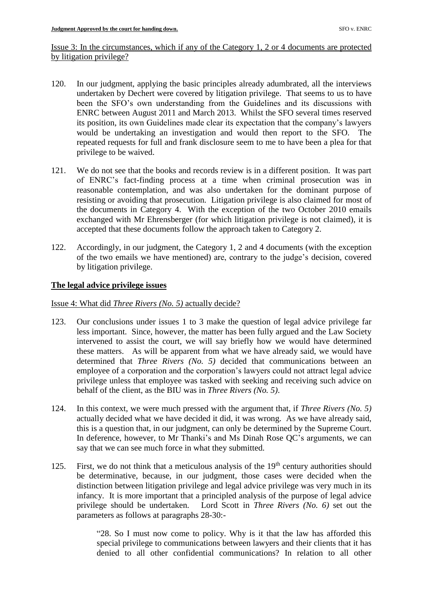## Issue 3: In the circumstances, which if any of the Category 1, 2 or 4 documents are protected by litigation privilege?

- 120. In our judgment, applying the basic principles already adumbrated, all the interviews undertaken by Dechert were covered by litigation privilege. That seems to us to have been the SFO's own understanding from the Guidelines and its discussions with ENRC between August 2011 and March 2013. Whilst the SFO several times reserved its position, its own Guidelines made clear its expectation that the company's lawyers would be undertaking an investigation and would then report to the SFO. The repeated requests for full and frank disclosure seem to me to have been a plea for that privilege to be waived.
- 121. We do not see that the books and records review is in a different position. It was part of ENRC's fact-finding process at a time when criminal prosecution was in reasonable contemplation, and was also undertaken for the dominant purpose of resisting or avoiding that prosecution. Litigation privilege is also claimed for most of the documents in Category 4. With the exception of the two October 2010 emails exchanged with Mr Ehrensberger (for which litigation privilege is not claimed), it is accepted that these documents follow the approach taken to Category 2.
- 122. Accordingly, in our judgment, the Category 1, 2 and 4 documents (with the exception of the two emails we have mentioned) are, contrary to the judge's decision, covered by litigation privilege.

## **The legal advice privilege issues**

#### Issue 4: What did *Three Rivers (No. 5)* actually decide?

- 123. Our conclusions under issues 1 to 3 make the question of legal advice privilege far less important. Since, however, the matter has been fully argued and the Law Society intervened to assist the court, we will say briefly how we would have determined these matters. As will be apparent from what we have already said, we would have determined that *Three Rivers (No. 5)* decided that communications between an employee of a corporation and the corporation's lawyers could not attract legal advice privilege unless that employee was tasked with seeking and receiving such advice on behalf of the client, as the BIU was in *Three Rivers (No. 5)*.
- 124. In this context, we were much pressed with the argument that, if *Three Rivers (No. 5)* actually decided what we have decided it did, it was wrong. As we have already said, this is a question that, in our judgment, can only be determined by the Supreme Court. In deference, however, to Mr Thanki's and Ms Dinah Rose QC's arguments, we can say that we can see much force in what they submitted.
- 125. First, we do not think that a meticulous analysis of the  $19<sup>th</sup>$  century authorities should be determinative, because, in our judgment, those cases were decided when the distinction between litigation privilege and legal advice privilege was very much in its infancy. It is more important that a principled analysis of the purpose of legal advice privilege should be undertaken. Lord Scott in *Three Rivers (No. 6)* set out the parameters as follows at paragraphs 28-30:-

"28. So I must now come to policy. Why is it that the law has afforded this special privilege to communications between lawyers and their clients that it has denied to all other confidential communications? In relation to all other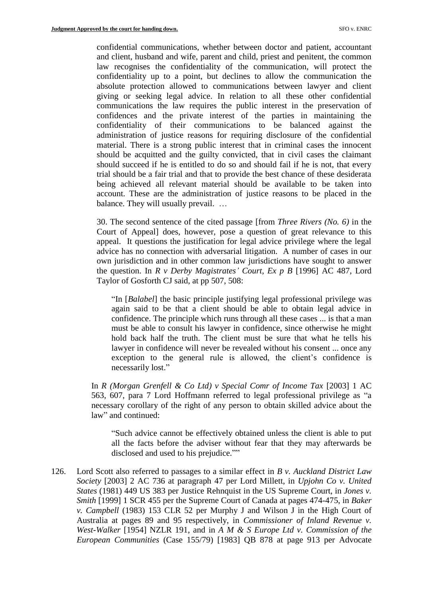confidential communications, whether between doctor and patient, accountant and client, husband and wife, parent and child, priest and penitent, the common law recognises the confidentiality of the communication, will protect the confidentiality up to a point, but declines to allow the communication the absolute protection allowed to communications between lawyer and client giving or seeking legal advice. In relation to all these other confidential communications the law requires the public interest in the preservation of confidences and the private interest of the parties in maintaining the confidentiality of their communications to be balanced against the administration of justice reasons for requiring disclosure of the confidential material. There is a strong public interest that in criminal cases the innocent should be acquitted and the guilty convicted, that in civil cases the claimant should succeed if he is entitled to do so and should fail if he is not, that every trial should be a fair trial and that to provide the best chance of these desiderata being achieved all relevant material should be available to be taken into account. These are the administration of justice reasons to be placed in the balance. They will usually prevail. …

30. The second sentence of the cited passage [from *Three Rivers (No. 6)* in the Court of Appeal] does, however, pose a question of great relevance to this appeal. It questions the justification for legal advice privilege where the legal advice has no connection with adversarial litigation. A number of cases in our own jurisdiction and in other common law jurisdictions have sought to answer the question. In *[R v Derby Magistrates'](http://login.westlaw.co.uk/maf/wluk/ext/app/document?sp=at70232412-55123&src=doc&linktype=ref&context=17&crumb-action=replace&docguid=I3F81D8F0E42811DA8FC2A0F0355337E9) Court, Ex p B* [1996] AC 487, Lord Taylor of Gosforth CJ said, at pp 507, 508:

"In [*Balabel*] the basic principle justifying legal professional privilege was again said to be that a client should be able to obtain legal advice in confidence. The principle which runs through all these cases ... is that a man must be able to consult his lawyer in confidence, since otherwise he might hold back half the truth. The client must be sure that what he tells his lawyer in confidence will never be revealed without his consent ... once any exception to the general rule is allowed, the client's confidence is necessarily lost."

In *[R \(Morgan Grenfell & Co Ltd\) v Special Comr of Income Tax](http://login.westlaw.co.uk/maf/wluk/ext/app/document?sp=at70232412-55123&src=doc&linktype=ref&context=17&crumb-action=replace&docguid=I7A795E10E42811DA8FC2A0F0355337E9)* [2003] 1 AC [563,](http://login.westlaw.co.uk/maf/wluk/ext/app/document?sp=at70232412-55123&src=doc&linktype=ref&context=17&crumb-action=replace&docguid=I7A795E10E42811DA8FC2A0F0355337E9) 607, para 7 Lord Hoffmann referred to legal professional privilege as "a necessary corollary of the right of any person to obtain skilled advice about the law" and continued:

"Such advice cannot be effectively obtained unless the client is able to put all the facts before the adviser without fear that they may afterwards be disclosed and used to his prejudice.""

126. Lord Scott also referred to passages to a similar effect in *B v. Auckland District Law Society* [2003] 2 AC 736 at paragraph 47 per Lord Millett, in *Upjohn Co v. United States* (1981) 449 US 383 per Justice Rehnquist in the US Supreme Court, in *Jones v. Smith* [1999] 1 SCR 455 per the Supreme Court of Canada at pages 474-475, in *Baker v. Campbell* (1983) 153 CLR 52 per Murphy J and Wilson J in the High Court of Australia at pages 89 and 95 respectively, in *Commissioner of Inland Revenue v. West-Walker* [1954] NZLR 191, and in *[A M & S Europe Ltd v.](http://login.westlaw.co.uk/maf/wluk/ext/app/document?sp=at70232412-55123&src=doc&linktype=ref&context=17&crumb-action=replace&docguid=I6CC2E3A0E42711DA8FC2A0F0355337E9) Commission of the European Communities* [\(Case 155/79\) \[1983\] QB 878](http://login.westlaw.co.uk/maf/wluk/ext/app/document?sp=at70232412-55123&src=doc&linktype=ref&context=17&crumb-action=replace&docguid=I6CC2E3A0E42711DA8FC2A0F0355337E9) at page 913 per Advocate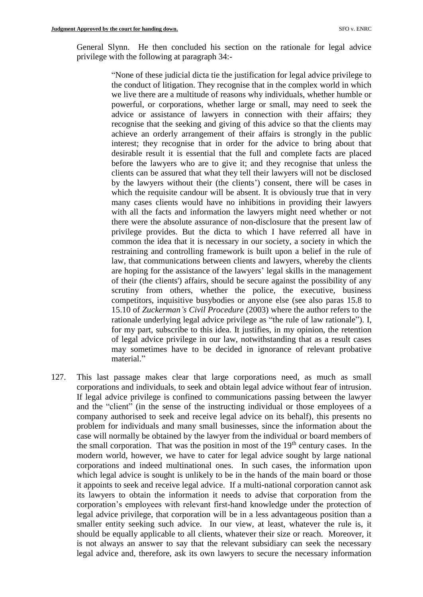General Slynn. He then concluded his section on the rationale for legal advice privilege with the following at paragraph 34:-

> "None of these judicial dicta tie the justification for legal advice privilege to the conduct of litigation. They recognise that in the complex world in which we live there are a multitude of reasons why individuals, whether humble or powerful, or corporations, whether large or small, may need to seek the advice or assistance of lawyers in connection with their affairs; they recognise that the seeking and giving of this advice so that the clients may achieve an orderly arrangement of their affairs is strongly in the public interest; they recognise that in order for the advice to bring about that desirable result it is essential that the full and complete facts are placed before the lawyers who are to give it; and they recognise that unless the clients can be assured that what they tell their lawyers will not be disclosed by the lawyers without their (the clients') consent, there will be cases in which the requisite candour will be absent. It is obviously true that in very many cases clients would have no inhibitions in providing their lawyers with all the facts and information the lawyers might need whether or not there were the absolute assurance of non-disclosure that the present law of privilege provides. But the dicta to which I have referred all have in common the idea that it is necessary in our society, a society in which the restraining and controlling framework is built upon a belief in the rule of law, that communications between clients and lawyers, whereby the clients are hoping for the assistance of the lawyers' legal skills in the management of their (the clients') affairs, should be secure against the possibility of any scrutiny from others, whether the police, the executive, business competitors, inquisitive busybodies or anyone else (see also paras 15.8 to 15.10 of *Zuckerman's Civil Procedure* (2003) where the author refers to the rationale underlying legal advice privilege as "the rule of law rationale"). I, for my part, subscribe to this idea. It justifies, in my opinion, the retention of legal advice privilege in our law, notwithstanding that as a result cases may sometimes have to be decided in ignorance of relevant probative material."

127. This last passage makes clear that large corporations need, as much as small corporations and individuals, to seek and obtain legal advice without fear of intrusion. If legal advice privilege is confined to communications passing between the lawyer and the "client" (in the sense of the instructing individual or those employees of a company authorised to seek and receive legal advice on its behalf), this presents no problem for individuals and many small businesses, since the information about the case will normally be obtained by the lawyer from the individual or board members of the small corporation. That was the position in most of the  $19<sup>th</sup>$  century cases. In the modern world, however, we have to cater for legal advice sought by large national corporations and indeed multinational ones. In such cases, the information upon which legal advice is sought is unlikely to be in the hands of the main board or those it appoints to seek and receive legal advice. If a multi-national corporation cannot ask its lawyers to obtain the information it needs to advise that corporation from the corporation's employees with relevant first-hand knowledge under the protection of legal advice privilege, that corporation will be in a less advantageous position than a smaller entity seeking such advice. In our view, at least, whatever the rule is, it should be equally applicable to all clients, whatever their size or reach. Moreover, it is not always an answer to say that the relevant subsidiary can seek the necessary legal advice and, therefore, ask its own lawyers to secure the necessary information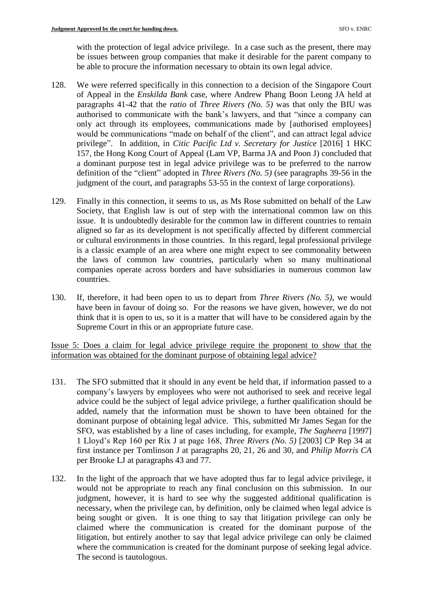with the protection of legal advice privilege. In a case such as the present, there may be issues between group companies that make it desirable for the parent company to be able to procure the information necessary to obtain its own legal advice.

- 128. We were referred specifically in this connection to a decision of the Singapore Court of Appeal in the *Enskilda Bank* case, where Andrew Phang Boon Leong JA held at paragraphs 41-42 that the *ratio* of *Three Rivers (No. 5)* was that only the BIU was authorised to communicate with the bank's lawyers, and that "since a company can only act through its employees, communications made by [authorised employees] would be communications "made on behalf of the client", and can attract legal advice privilege". In addition, in *Citic Pacific Ltd v. Secretary for Justice* [2016] 1 HKC 157, the Hong Kong Court of Appeal (Lam VP, Barma JA and Poon J) concluded that a dominant purpose test in legal advice privilege was to be preferred to the narrow definition of the "client" adopted in *Three Rivers (No. 5)* (see paragraphs 39-56 in the judgment of the court, and paragraphs 53-55 in the context of large corporations).
- 129. Finally in this connection, it seems to us, as Ms Rose submitted on behalf of the Law Society, that English law is out of step with the international common law on this issue. It is undoubtedly desirable for the common law in different countries to remain aligned so far as its development is not specifically affected by different commercial or cultural environments in those countries. In this regard, legal professional privilege is a classic example of an area where one might expect to see commonality between the laws of common law countries, particularly when so many multinational companies operate across borders and have subsidiaries in numerous common law countries.
- 130. If, therefore, it had been open to us to depart from *Three Rivers (No. 5)*, we would have been in favour of doing so. For the reasons we have given, however, we do not think that it is open to us, so it is a matter that will have to be considered again by the Supreme Court in this or an appropriate future case.

Issue 5: Does a claim for legal advice privilege require the proponent to show that the information was obtained for the dominant purpose of obtaining legal advice?

- 131. The SFO submitted that it should in any event be held that, if information passed to a company's lawyers by employees who were not authorised to seek and receive legal advice could be the subject of legal advice privilege, a further qualification should be added, namely that the information must be shown to have been obtained for the dominant purpose of obtaining legal advice. This, submitted Mr James Segan for the SFO, was established by a line of cases including, for example, *The Sagheera* [1997] 1 Lloyd's Rep 160 per Rix J at page 168, *Three Rivers (No. 5)* [2003] CP Rep 34 at first instance per Tomlinson J at paragraphs 20, 21, 26 and 30, and *Philip Morris CA* per Brooke LJ at paragraphs 43 and 77.
- 132. In the light of the approach that we have adopted thus far to legal advice privilege, it would not be appropriate to reach any final conclusion on this submission. In our judgment, however, it is hard to see why the suggested additional qualification is necessary, when the privilege can, by definition, only be claimed when legal advice is being sought or given. It is one thing to say that litigation privilege can only be claimed where the communication is created for the dominant purpose of the litigation, but entirely another to say that legal advice privilege can only be claimed where the communication is created for the dominant purpose of seeking legal advice. The second is tautologous.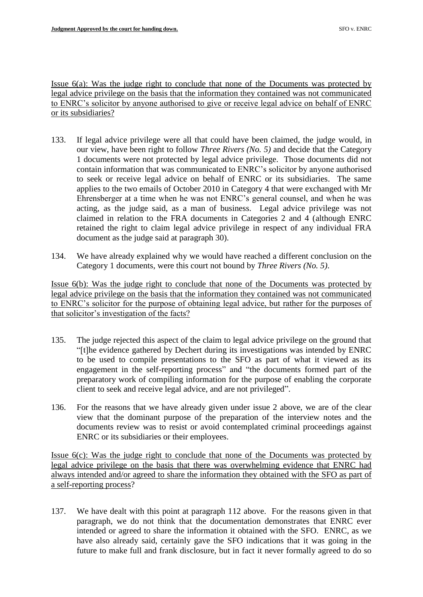Issue 6(a): Was the judge right to conclude that none of the Documents was protected by legal advice privilege on the basis that the information they contained was not communicated to ENRC's solicitor by anyone authorised to give or receive legal advice on behalf of ENRC or its subsidiaries?

- 133. If legal advice privilege were all that could have been claimed, the judge would, in our view, have been right to follow *Three Rivers (No. 5)* and decide that the Category 1 documents were not protected by legal advice privilege. Those documents did not contain information that was communicated to ENRC's solicitor by anyone authorised to seek or receive legal advice on behalf of ENRC or its subsidiaries. The same applies to the two emails of October 2010 in Category 4 that were exchanged with Mr Ehrensberger at a time when he was not ENRC's general counsel, and when he was acting, as the judge said, as a man of business. Legal advice privilege was not claimed in relation to the FRA documents in Categories 2 and 4 (although ENRC retained the right to claim legal advice privilege in respect of any individual FRA document as the judge said at paragraph 30).
- 134. We have already explained why we would have reached a different conclusion on the Category 1 documents, were this court not bound by *Three Rivers (No. 5)*.

Issue 6(b): Was the judge right to conclude that none of the Documents was protected by legal advice privilege on the basis that the information they contained was not communicated to ENRC's solicitor for the purpose of obtaining legal advice, but rather for the purposes of that solicitor's investigation of the facts?

- 135. The judge rejected this aspect of the claim to legal advice privilege on the ground that "[t]he evidence gathered by Dechert during its investigations was intended by ENRC to be used to compile presentations to the SFO as part of what it viewed as its engagement in the self-reporting process" and "the documents formed part of the preparatory work of compiling information for the purpose of enabling the corporate client to seek and receive legal advice, and are not privileged".
- 136. For the reasons that we have already given under issue 2 above, we are of the clear view that the dominant purpose of the preparation of the interview notes and the documents review was to resist or avoid contemplated criminal proceedings against ENRC or its subsidiaries or their employees.

Issue 6(c): Was the judge right to conclude that none of the Documents was protected by legal advice privilege on the basis that there was overwhelming evidence that ENRC had always intended and/or agreed to share the information they obtained with the SFO as part of a self-reporting process?

137. We have dealt with this point at paragraph 112 above. For the reasons given in that paragraph, we do not think that the documentation demonstrates that ENRC ever intended or agreed to share the information it obtained with the SFO. ENRC, as we have also already said, certainly gave the SFO indications that it was going in the future to make full and frank disclosure, but in fact it never formally agreed to do so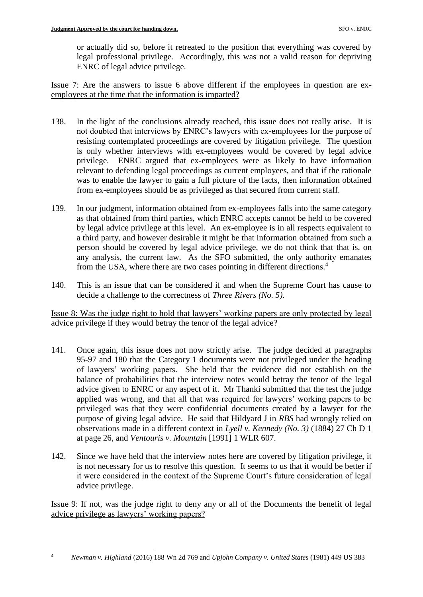or actually did so, before it retreated to the position that everything was covered by legal professional privilege. Accordingly, this was not a valid reason for depriving ENRC of legal advice privilege.

Issue 7: Are the answers to issue 6 above different if the employees in question are exemployees at the time that the information is imparted?

- 138. In the light of the conclusions already reached, this issue does not really arise. It is not doubted that interviews by ENRC's lawyers with ex-employees for the purpose of resisting contemplated proceedings are covered by litigation privilege. The question is only whether interviews with ex-employees would be covered by legal advice privilege. ENRC argued that ex-employees were as likely to have information relevant to defending legal proceedings as current employees, and that if the rationale was to enable the lawyer to gain a full picture of the facts, then information obtained from ex-employees should be as privileged as that secured from current staff.
- 139. In our judgment, information obtained from ex-employees falls into the same category as that obtained from third parties, which ENRC accepts cannot be held to be covered by legal advice privilege at this level. An ex-employee is in all respects equivalent to a third party, and however desirable it might be that information obtained from such a person should be covered by legal advice privilege, we do not think that that is, on any analysis, the current law. As the SFO submitted, the only authority emanates from the USA, where there are two cases pointing in different directions.<sup>4</sup>
- 140. This is an issue that can be considered if and when the Supreme Court has cause to decide a challenge to the correctness of *Three Rivers (No. 5)*.

Issue 8: Was the judge right to hold that lawyers' working papers are only protected by legal advice privilege if they would betray the tenor of the legal advice?

- 141. Once again, this issue does not now strictly arise. The judge decided at paragraphs 95-97 and 180 that the Category 1 documents were not privileged under the heading of lawyers' working papers. She held that the evidence did not establish on the balance of probabilities that the interview notes would betray the tenor of the legal advice given to ENRC or any aspect of it. Mr Thanki submitted that the test the judge applied was wrong, and that all that was required for lawyers' working papers to be privileged was that they were confidential documents created by a lawyer for the purpose of giving legal advice. He said that Hildyard J in *RBS* had wrongly relied on observations made in a different context in *Lyell v. Kennedy (No. 3)* (1884) 27 Ch D 1 at page 26, and *Ventouris v. Mountain* [1991] 1 WLR 607.
- 142. Since we have held that the interview notes here are covered by litigation privilege, it is not necessary for us to resolve this question. It seems to us that it would be better if it were considered in the context of the Supreme Court's future consideration of legal advice privilege.

Issue 9: If not, was the judge right to deny any or all of the Documents the benefit of legal advice privilege as lawyers' working papers?

<sup>&</sup>lt;u>.</u> <sup>4</sup> *Newman v. Highland* (2016) 188 Wn 2d 769 and *Upjohn Company v. United States* (1981) 449 US 383